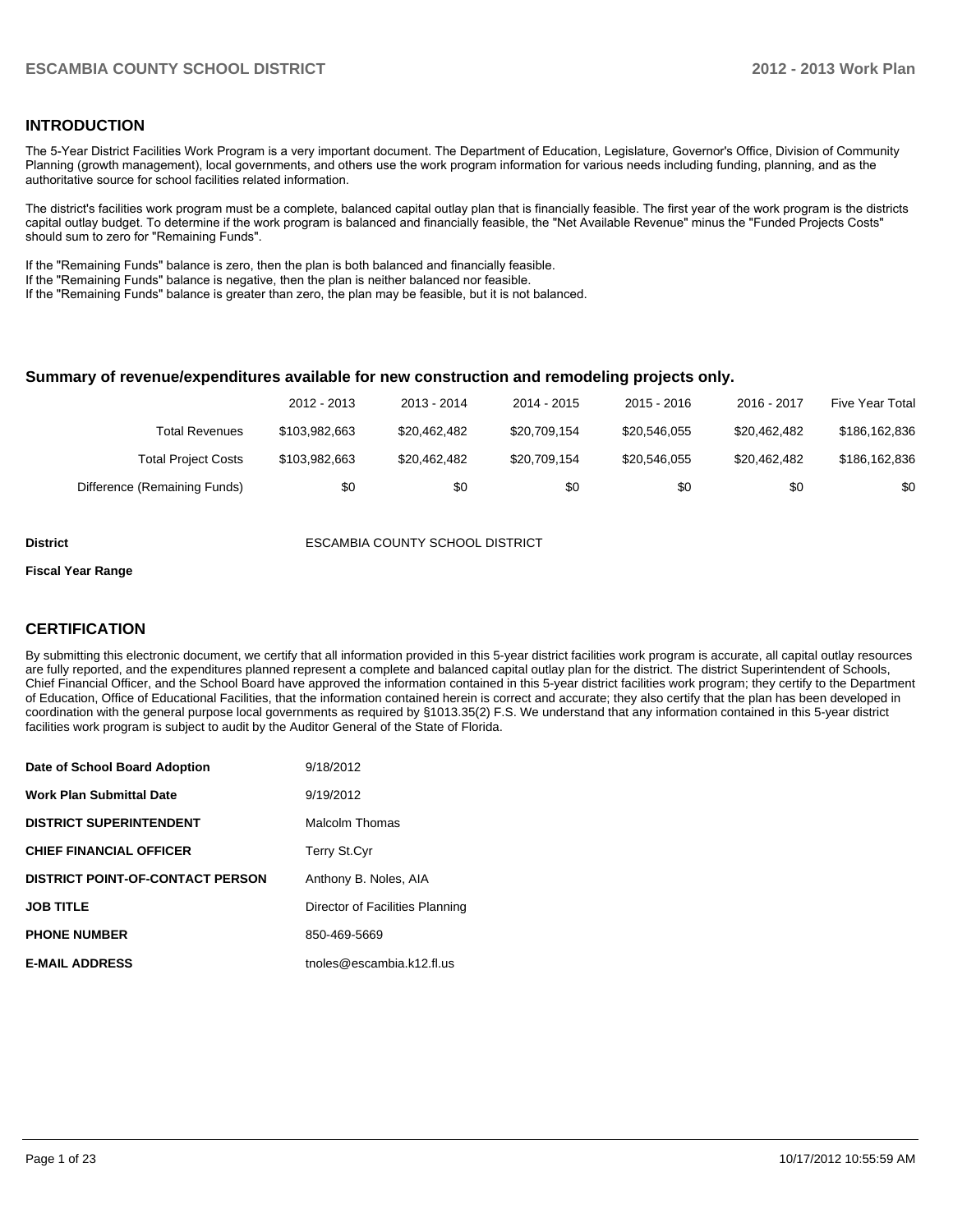#### **INTRODUCTION**

The 5-Year District Facilities Work Program is a very important document. The Department of Education, Legislature, Governor's Office, Division of Community Planning (growth management), local governments, and others use the work program information for various needs including funding, planning, and as the authoritative source for school facilities related information.

The district's facilities work program must be a complete, balanced capital outlay plan that is financially feasible. The first year of the work program is the districts capital outlay budget. To determine if the work program is balanced and financially feasible, the "Net Available Revenue" minus the "Funded Projects Costs" should sum to zero for "Remaining Funds".

If the "Remaining Funds" balance is zero, then the plan is both balanced and financially feasible.

If the "Remaining Funds" balance is negative, then the plan is neither balanced nor feasible.

If the "Remaining Funds" balance is greater than zero, the plan may be feasible, but it is not balanced.

#### **Summary of revenue/expenditures available for new construction and remodeling projects only.**

| Five Year Total | 2016 - 2017  | $2015 - 2016$ | 2014 - 2015  | 2013 - 2014  | 2012 - 2013   |                              |
|-----------------|--------------|---------------|--------------|--------------|---------------|------------------------------|
| \$186,162,836   | \$20.462.482 | \$20,546,055  | \$20,709,154 | \$20,462,482 | \$103,982,663 | Total Revenues               |
| \$186,162,836   | \$20.462.482 | \$20,546,055  | \$20.709.154 | \$20,462,482 | \$103,982,663 | <b>Total Project Costs</b>   |
| \$0             | \$0          | \$0           | \$0          | \$0          | \$0           | Difference (Remaining Funds) |

**District** ESCAMBIA COUNTY SCHOOL DISTRICT

#### **Fiscal Year Range**

#### **CERTIFICATION**

By submitting this electronic document, we certify that all information provided in this 5-year district facilities work program is accurate, all capital outlay resources are fully reported, and the expenditures planned represent a complete and balanced capital outlay plan for the district. The district Superintendent of Schools, Chief Financial Officer, and the School Board have approved the information contained in this 5-year district facilities work program; they certify to the Department of Education, Office of Educational Facilities, that the information contained herein is correct and accurate; they also certify that the plan has been developed in coordination with the general purpose local governments as required by §1013.35(2) F.S. We understand that any information contained in this 5-year district facilities work program is subject to audit by the Auditor General of the State of Florida.

| Date of School Board Adoption           | 9/18/2012                       |
|-----------------------------------------|---------------------------------|
| <b>Work Plan Submittal Date</b>         | 9/19/2012                       |
| <b>DISTRICT SUPERINTENDENT</b>          | Malcolm Thomas                  |
| <b>CHIEF FINANCIAL OFFICER</b>          | <b>Terry St.Cyr</b>             |
| <b>DISTRICT POINT-OF-CONTACT PERSON</b> | Anthony B. Noles, AIA           |
| <b>JOB TITLE</b>                        | Director of Facilities Planning |
| <b>PHONE NUMBER</b>                     | 850-469-5669                    |
| <b>E-MAIL ADDRESS</b>                   | tnoles@escambia.k12.fl.us       |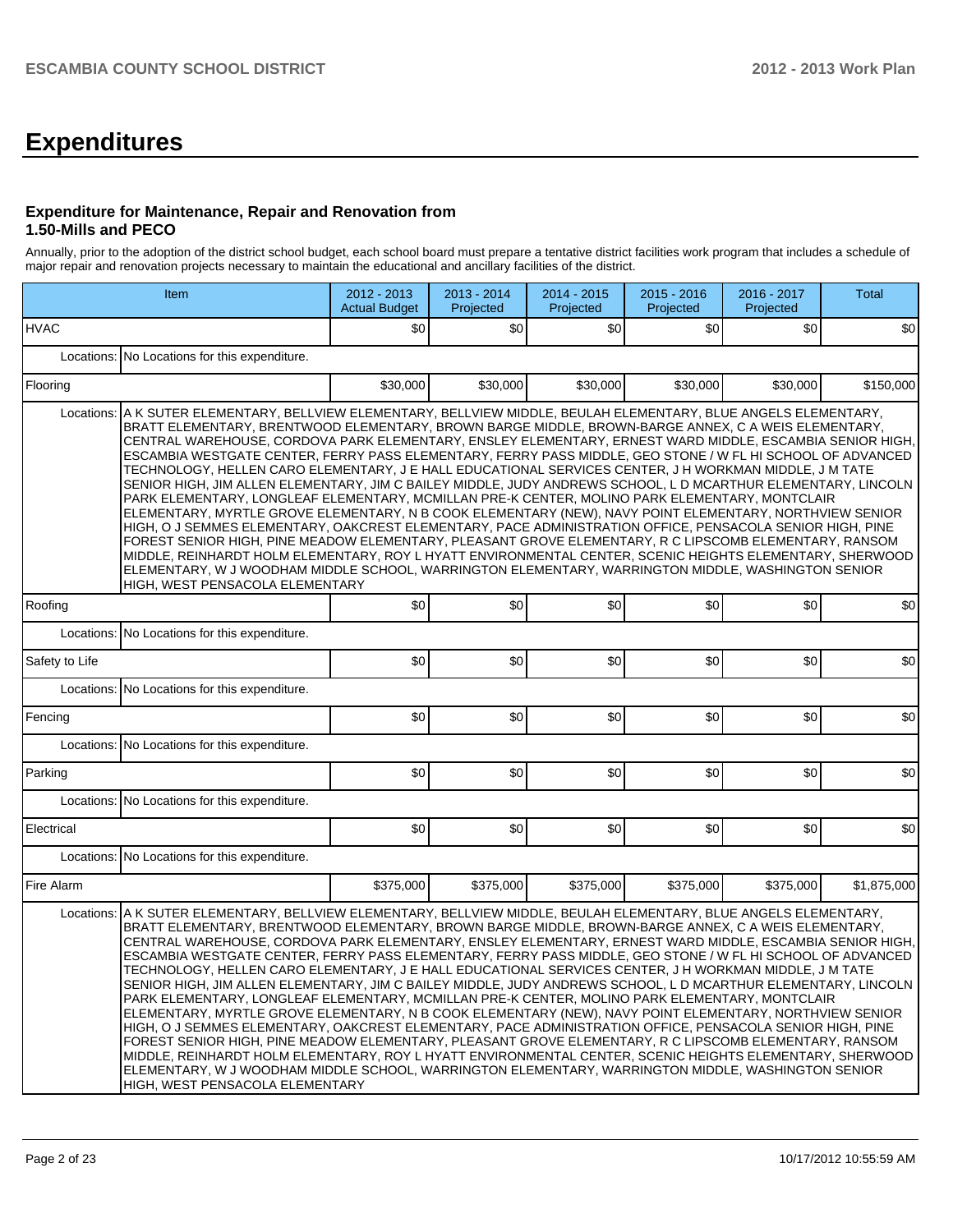# **Expenditures**

#### **Expenditure for Maintenance, Repair and Renovation from 1.50-Mills and PECO**

Annually, prior to the adoption of the district school budget, each school board must prepare a tentative district facilities work program that includes a schedule of major repair and renovation projects necessary to maintain the educational and ancillary facilities of the district.

|                                               | Item                                                                                                                                                                                                                                                                                                                                                                                                                                                                                                                                                                                                                                                                                                                                                                                                                                                                                                                                                                                                                                                                                                                                                                                                                                                                                                                                                                                                   | 2012 - 2013<br><b>Actual Budget</b> | 2013 - 2014<br>Projected | 2014 - 2015<br>Projected | 2015 - 2016<br>Projected | 2016 - 2017<br>Projected | <b>Total</b> |  |  |  |  |
|-----------------------------------------------|--------------------------------------------------------------------------------------------------------------------------------------------------------------------------------------------------------------------------------------------------------------------------------------------------------------------------------------------------------------------------------------------------------------------------------------------------------------------------------------------------------------------------------------------------------------------------------------------------------------------------------------------------------------------------------------------------------------------------------------------------------------------------------------------------------------------------------------------------------------------------------------------------------------------------------------------------------------------------------------------------------------------------------------------------------------------------------------------------------------------------------------------------------------------------------------------------------------------------------------------------------------------------------------------------------------------------------------------------------------------------------------------------------|-------------------------------------|--------------------------|--------------------------|--------------------------|--------------------------|--------------|--|--|--|--|
| <b>HVAC</b>                                   |                                                                                                                                                                                                                                                                                                                                                                                                                                                                                                                                                                                                                                                                                                                                                                                                                                                                                                                                                                                                                                                                                                                                                                                                                                                                                                                                                                                                        | \$0                                 | \$0                      | \$0                      | \$0                      | \$0                      | \$0          |  |  |  |  |
| Locations:                                    | No Locations for this expenditure.                                                                                                                                                                                                                                                                                                                                                                                                                                                                                                                                                                                                                                                                                                                                                                                                                                                                                                                                                                                                                                                                                                                                                                                                                                                                                                                                                                     |                                     |                          |                          |                          |                          |              |  |  |  |  |
| Flooring                                      |                                                                                                                                                                                                                                                                                                                                                                                                                                                                                                                                                                                                                                                                                                                                                                                                                                                                                                                                                                                                                                                                                                                                                                                                                                                                                                                                                                                                        | \$30,000                            | \$30,000                 | \$30,000                 | \$30,000                 | \$30,000                 | \$150,000    |  |  |  |  |
| Locations:                                    | A K SUTER ELEMENTARY, BELLVIEW ELEMENTARY, BELLVIEW MIDDLE, BEULAH ELEMENTARY, BLUE ANGELS ELEMENTARY,<br>BRATT ELEMENTARY, BRENTWOOD ELEMENTARY, BROWN BARGE MIDDLE, BROWN-BARGE ANNEX, C A WEIS ELEMENTARY,<br>CENTRAL WAREHOUSE, CORDOVA PARK ELEMENTARY, ENSLEY ELEMENTARY, ERNEST WARD MIDDLE, ESCAMBIA SENIOR HIGH,<br>ESCAMBIA WESTGATE CENTER, FERRY PASS ELEMENTARY, FERRY PASS MIDDLE, GEO STONE / W FL HI SCHOOL OF ADVANCED<br>TECHNOLOGY, HELLEN CARO ELEMENTARY, J E HALL EDUCATIONAL SERVICES CENTER, J H WORKMAN MIDDLE, J M TATE<br>SENIOR HIGH, JIM ALLEN ELEMENTARY, JIM C BAILEY MIDDLE, JUDY ANDREWS SCHOOL, L D MCARTHUR ELEMENTARY, LINCOLN<br>PARK ELEMENTARY, LONGLEAF ELEMENTARY, MCMILLAN PRE-K CENTER, MOLINO PARK ELEMENTARY, MONTCLAIR<br>ELEMENTARY, MYRTLE GROVE ELEMENTARY, N B COOK ELEMENTARY (NEW), NAVY POINT ELEMENTARY, NORTHVIEW SENIOR<br>HIGH, O J SEMMES ELEMENTARY, OAKCREST ELEMENTARY, PACE ADMINISTRATION OFFICE, PENSACOLA SENIOR HIGH, PINE<br>FOREST SENIOR HIGH, PINE MEADOW ELEMENTARY, PLEASANT GROVE ELEMENTARY, R C LIPSCOMB ELEMENTARY, RANSOM<br>MIDDLE, REINHARDT HOLM ELEMENTARY, ROY L HYATT ENVIRONMENTAL CENTER, SCENIC HEIGHTS ELEMENTARY, SHERWOOD<br>ELEMENTARY, W J WOODHAM MIDDLE SCHOOL, WARRINGTON ELEMENTARY, WARRINGTON MIDDLE, WASHINGTON SENIOR<br>HIGH, WEST PENSACOLA ELEMENTARY<br>\$0 <br>\$0<br>\$0<br>\$0<br>\$0<br>\$0 |                                     |                          |                          |                          |                          |              |  |  |  |  |
| Roofing                                       |                                                                                                                                                                                                                                                                                                                                                                                                                                                                                                                                                                                                                                                                                                                                                                                                                                                                                                                                                                                                                                                                                                                                                                                                                                                                                                                                                                                                        |                                     |                          |                          |                          |                          |              |  |  |  |  |
| Locations: No Locations for this expenditure. |                                                                                                                                                                                                                                                                                                                                                                                                                                                                                                                                                                                                                                                                                                                                                                                                                                                                                                                                                                                                                                                                                                                                                                                                                                                                                                                                                                                                        |                                     |                          |                          |                          |                          |              |  |  |  |  |
| Safety to Life                                |                                                                                                                                                                                                                                                                                                                                                                                                                                                                                                                                                                                                                                                                                                                                                                                                                                                                                                                                                                                                                                                                                                                                                                                                                                                                                                                                                                                                        | \$0                                 | \$0                      | \$0                      | \$0                      | \$0                      | \$0          |  |  |  |  |
|                                               | Locations: No Locations for this expenditure.                                                                                                                                                                                                                                                                                                                                                                                                                                                                                                                                                                                                                                                                                                                                                                                                                                                                                                                                                                                                                                                                                                                                                                                                                                                                                                                                                          |                                     |                          |                          |                          |                          |              |  |  |  |  |
| Fencing                                       |                                                                                                                                                                                                                                                                                                                                                                                                                                                                                                                                                                                                                                                                                                                                                                                                                                                                                                                                                                                                                                                                                                                                                                                                                                                                                                                                                                                                        | \$0                                 | \$0                      | \$0                      | \$0                      | \$0                      | \$0          |  |  |  |  |
| Locations:                                    | No Locations for this expenditure.                                                                                                                                                                                                                                                                                                                                                                                                                                                                                                                                                                                                                                                                                                                                                                                                                                                                                                                                                                                                                                                                                                                                                                                                                                                                                                                                                                     |                                     |                          |                          |                          |                          |              |  |  |  |  |
| Parking                                       |                                                                                                                                                                                                                                                                                                                                                                                                                                                                                                                                                                                                                                                                                                                                                                                                                                                                                                                                                                                                                                                                                                                                                                                                                                                                                                                                                                                                        | \$0                                 | \$0                      | \$0                      | \$0                      | \$0                      | \$0          |  |  |  |  |
| Locations:                                    | No Locations for this expenditure.                                                                                                                                                                                                                                                                                                                                                                                                                                                                                                                                                                                                                                                                                                                                                                                                                                                                                                                                                                                                                                                                                                                                                                                                                                                                                                                                                                     |                                     |                          |                          |                          |                          |              |  |  |  |  |
| Electrical                                    |                                                                                                                                                                                                                                                                                                                                                                                                                                                                                                                                                                                                                                                                                                                                                                                                                                                                                                                                                                                                                                                                                                                                                                                                                                                                                                                                                                                                        | \$0                                 | \$0                      | \$0                      | \$0                      | \$0                      | \$0          |  |  |  |  |
|                                               | Locations: No Locations for this expenditure.                                                                                                                                                                                                                                                                                                                                                                                                                                                                                                                                                                                                                                                                                                                                                                                                                                                                                                                                                                                                                                                                                                                                                                                                                                                                                                                                                          |                                     |                          |                          |                          |                          |              |  |  |  |  |
| Fire Alarm                                    |                                                                                                                                                                                                                                                                                                                                                                                                                                                                                                                                                                                                                                                                                                                                                                                                                                                                                                                                                                                                                                                                                                                                                                                                                                                                                                                                                                                                        | \$375,000                           | \$375,000                | \$375,000                | \$375,000                | \$375,000                | \$1,875,000  |  |  |  |  |
|                                               | Locations: A K SUTER ELEMENTARY, BELLVIEW ELEMENTARY, BELLVIEW MIDDLE, BEULAH ELEMENTARY, BLUE ANGELS ELEMENTARY,<br>BRATT ELEMENTARY, BRENTWOOD ELEMENTARY, BROWN BARGE MIDDLE, BROWN-BARGE ANNEX, C A WEIS ELEMENTARY,<br>CENTRAL WAREHOUSE, CORDOVA PARK ELEMENTARY, ENSLEY ELEMENTARY, ERNEST WARD MIDDLE, ESCAMBIA SENIOR HIGH,<br>ESCAMBIA WESTGATE CENTER, FERRY PASS ELEMENTARY, FERRY PASS MIDDLE, GEO STONE / W FL HI SCHOOL OF ADVANCED<br>TECHNOLOGY, HELLEN CARO ELEMENTARY, J E HALL EDUCATIONAL SERVICES CENTER, J H WORKMAN MIDDLE, J M TATE<br>SENIOR HIGH, JIM ALLEN ELEMENTARY, JIM C BAILEY MIDDLE, JUDY ANDREWS SCHOOL, L D MCARTHUR ELEMENTARY, LINCOLN<br>PARK ELEMENTARY, LONGLEAF ELEMENTARY, MCMILLAN PRE-K CENTER, MOLINO PARK ELEMENTARY, MONTCLAIR<br>ELEMENTARY, MYRTLE GROVE ELEMENTARY, N B COOK ELEMENTARY (NEW), NAVY POINT ELEMENTARY, NORTHVIEW SENIOR<br>HIGH, O J SEMMES ELEMENTARY, OAKCREST ELEMENTARY, PACE ADMINISTRATION OFFICE, PENSACOLA SENIOR HIGH, PINE<br>FOREST SENIOR HIGH, PINE MEADOW ELEMENTARY, PLEASANT GROVE ELEMENTARY, R C LIPSCOMB ELEMENTARY, RANSOM<br>MIDDLE, REINHARDT HOLM ELEMENTARY, ROY L HYATT ENVIRONMENTAL CENTER, SCENIC HEIGHTS ELEMENTARY, SHERWOOD<br>ELEMENTARY, W J WOODHAM MIDDLE SCHOOL, WARRINGTON ELEMENTARY, WARRINGTON MIDDLE, WASHINGTON SENIOR<br>HIGH, WEST PENSACOLA ELEMENTARY                                 |                                     |                          |                          |                          |                          |              |  |  |  |  |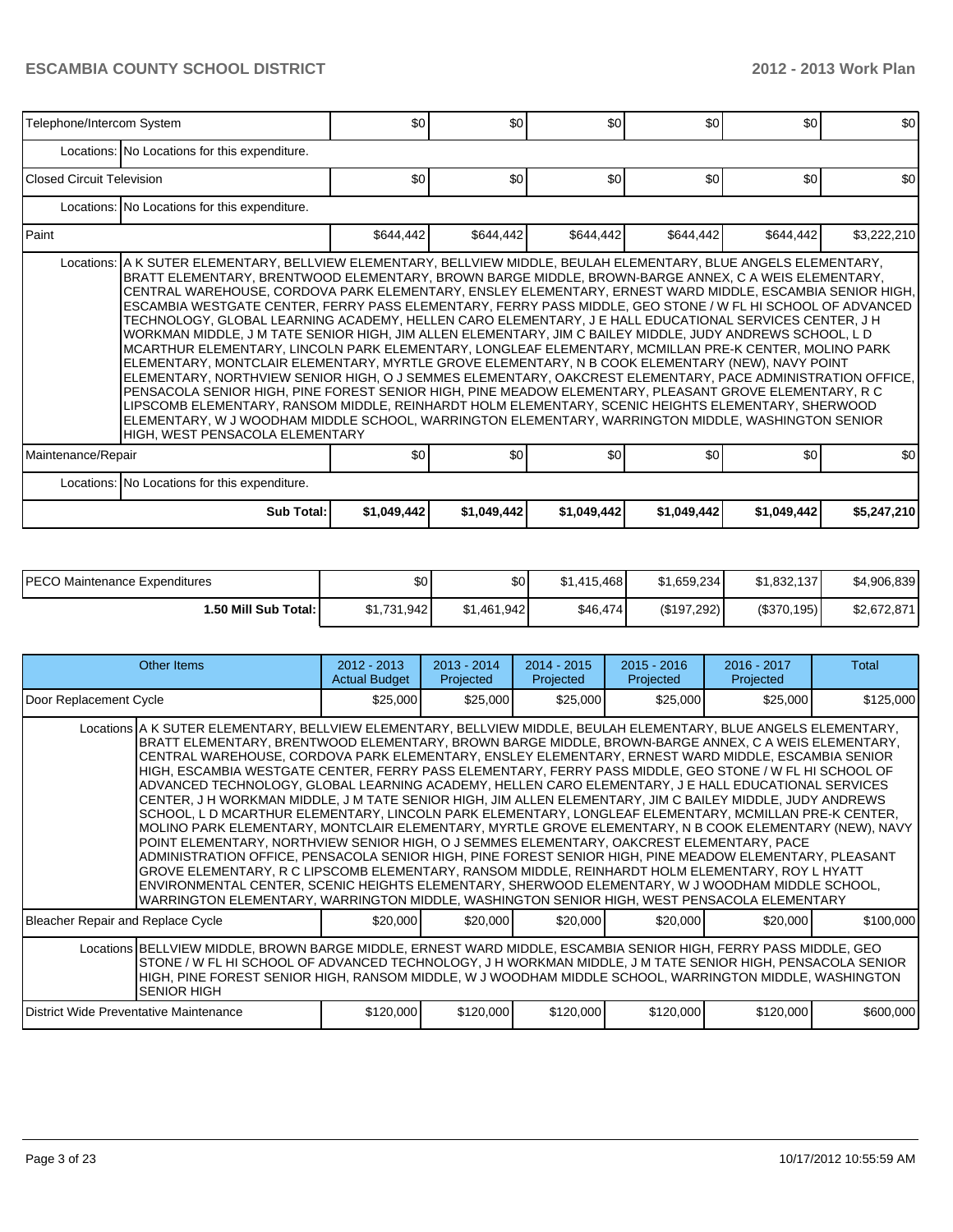| Telephone/Intercom System |                                                                                                                                                                                                                                                                                                                                                                                                                                                                                                                                                                                                                                                                                                                                                                                                                                                                                                                                                                                                                                                                                                                                                                                                                                                                                                                                                                     | \$0         | \$0         | \$0         | \$0         | \$0         | \$0         |
|---------------------------|---------------------------------------------------------------------------------------------------------------------------------------------------------------------------------------------------------------------------------------------------------------------------------------------------------------------------------------------------------------------------------------------------------------------------------------------------------------------------------------------------------------------------------------------------------------------------------------------------------------------------------------------------------------------------------------------------------------------------------------------------------------------------------------------------------------------------------------------------------------------------------------------------------------------------------------------------------------------------------------------------------------------------------------------------------------------------------------------------------------------------------------------------------------------------------------------------------------------------------------------------------------------------------------------------------------------------------------------------------------------|-------------|-------------|-------------|-------------|-------------|-------------|
|                           | Locations: No Locations for this expenditure.                                                                                                                                                                                                                                                                                                                                                                                                                                                                                                                                                                                                                                                                                                                                                                                                                                                                                                                                                                                                                                                                                                                                                                                                                                                                                                                       |             |             |             |             |             |             |
| Closed Circuit Television |                                                                                                                                                                                                                                                                                                                                                                                                                                                                                                                                                                                                                                                                                                                                                                                                                                                                                                                                                                                                                                                                                                                                                                                                                                                                                                                                                                     | \$0         | \$0         | \$0         | \$0         | \$0         | \$0         |
|                           | Locations: No Locations for this expenditure.                                                                                                                                                                                                                                                                                                                                                                                                                                                                                                                                                                                                                                                                                                                                                                                                                                                                                                                                                                                                                                                                                                                                                                                                                                                                                                                       |             |             |             |             |             |             |
| l Paint                   |                                                                                                                                                                                                                                                                                                                                                                                                                                                                                                                                                                                                                                                                                                                                                                                                                                                                                                                                                                                                                                                                                                                                                                                                                                                                                                                                                                     | \$644,442   | \$644,442   | \$644,442   | \$644,442   | \$644,442   | \$3,222,210 |
|                           | Locations: A K SUTER ELEMENTARY, BELLVIEW ELEMENTARY, BELLVIEW MIDDLE, BEULAH ELEMENTARY, BLUE ANGELS ELEMENTARY,<br>BRATT ELEMENTARY, BRENTWOOD ELEMENTARY, BROWN BARGE MIDDLE, BROWN-BARGE ANNEX, C A WEIS ELEMENTARY,<br>CENTRAL WAREHOUSE, CORDOVA PARK ELEMENTARY, ENSLEY ELEMENTARY, ERNEST WARD MIDDLE, ESCAMBIA SENIOR HIGH,<br>ESCAMBIA WESTGATE CENTER, FERRY PASS ELEMENTARY, FERRY PASS MIDDLE, GEO STONE / W FL HI SCHOOL OF ADVANCED<br>TECHNOLOGY, GLOBAL LEARNING ACADEMY, HELLEN CARO ELEMENTARY, J E HALL EDUCATIONAL SERVICES CENTER, J H<br>WORKMAN MIDDLE, J M TATE SENIOR HIGH, JIM ALLEN ELEMENTARY, JIM C BAILEY MIDDLE, JUDY ANDREWS SCHOOL, L D<br>MCARTHUR ELEMENTARY, LINCOLN PARK ELEMENTARY, LONGLEAF ELEMENTARY, MCMILLAN PRE-K CENTER, MOLINO PARK<br>ELEMENTARY, MONTCLAIR ELEMENTARY, MYRTLE GROVE ELEMENTARY, N B COOK ELEMENTARY (NEW), NAVY POINT<br>ELEMENTARY, NORTHVIEW SENIOR HIGH, O J SEMMES ELEMENTARY, OAKCREST ELEMENTARY, PACE ADMINISTRATION OFFICE,<br>PENSACOLA SENIOR HIGH, PINE FOREST SENIOR HIGH, PINE MEADOW ELEMENTARY, PLEASANT GROVE ELEMENTARY, RC<br>LIPSCOMB ELEMENTARY, RANSOM MIDDLE, REINHARDT HOLM ELEMENTARY, SCENIC HEIGHTS ELEMENTARY, SHERWOOD<br>ELEMENTARY, W J WOODHAM MIDDLE SCHOOL, WARRINGTON ELEMENTARY, WARRINGTON MIDDLE, WASHINGTON SENIOR<br><b>HIGH, WEST PENSACOLA ELEMENTARY</b> |             |             |             |             |             |             |
| Maintenance/Repair        |                                                                                                                                                                                                                                                                                                                                                                                                                                                                                                                                                                                                                                                                                                                                                                                                                                                                                                                                                                                                                                                                                                                                                                                                                                                                                                                                                                     | \$0         | \$0         | \$0         | \$0         | \$0         | \$0         |
|                           | Locations: No Locations for this expenditure.                                                                                                                                                                                                                                                                                                                                                                                                                                                                                                                                                                                                                                                                                                                                                                                                                                                                                                                                                                                                                                                                                                                                                                                                                                                                                                                       |             |             |             |             |             |             |
|                           | <b>Sub Total:</b>                                                                                                                                                                                                                                                                                                                                                                                                                                                                                                                                                                                                                                                                                                                                                                                                                                                                                                                                                                                                                                                                                                                                                                                                                                                                                                                                                   | \$1,049,442 | \$1,049,442 | \$1,049,442 | \$1,049,442 | \$1,049,442 | \$5,247,210 |

| PECO Maintenance Expenditures | ا 30        | \$0         | \$1.415.468 | \$1,659,234 | \$1,832,137 | \$4,906,839 |
|-------------------------------|-------------|-------------|-------------|-------------|-------------|-------------|
| 1.50 Mill Sub Total: I        | \$1.731.942 | \$1.461.942 | \$46,474    | (S197.292)  | (\$370,195) | \$2,672,871 |

|                                                                                                                                                                                                                                                                                                                                                              | Other Items                                                                                                                                                                                                                                                                                                                                                                                                                                                                                                                                                                                                                                                                                                                                                                                                                                                                                                                                                                                                                                                                                                                                                                                                                                                                                                                                                                                     | $2012 - 2013$<br><b>Actual Budget</b> | $2013 - 2014$<br>Projected | $2014 - 2015$<br>Projected | $2015 - 2016$<br>Projected | 2016 - 2017<br>Projected | Total     |  |  |
|--------------------------------------------------------------------------------------------------------------------------------------------------------------------------------------------------------------------------------------------------------------------------------------------------------------------------------------------------------------|-------------------------------------------------------------------------------------------------------------------------------------------------------------------------------------------------------------------------------------------------------------------------------------------------------------------------------------------------------------------------------------------------------------------------------------------------------------------------------------------------------------------------------------------------------------------------------------------------------------------------------------------------------------------------------------------------------------------------------------------------------------------------------------------------------------------------------------------------------------------------------------------------------------------------------------------------------------------------------------------------------------------------------------------------------------------------------------------------------------------------------------------------------------------------------------------------------------------------------------------------------------------------------------------------------------------------------------------------------------------------------------------------|---------------------------------------|----------------------------|----------------------------|----------------------------|--------------------------|-----------|--|--|
| Door Replacement Cycle                                                                                                                                                                                                                                                                                                                                       |                                                                                                                                                                                                                                                                                                                                                                                                                                                                                                                                                                                                                                                                                                                                                                                                                                                                                                                                                                                                                                                                                                                                                                                                                                                                                                                                                                                                 | \$25,000                              | \$25,000                   | \$25,000                   | \$25,000                   | \$25,000                 | \$125,000 |  |  |
|                                                                                                                                                                                                                                                                                                                                                              | Locations A K SUTER ELEMENTARY, BELLVIEW ELEMENTARY, BELLVIEW MIDDLE, BEULAH ELEMENTARY, BLUE ANGELS ELEMENTARY,<br>BRATT ELEMENTARY, BRENTWOOD ELEMENTARY, BROWN BARGE MIDDLE, BROWN-BARGE ANNEX, C A WEIS ELEMENTARY,<br>CENTRAL WAREHOUSE, CORDOVA PARK ELEMENTARY, ENSLEY ELEMENTARY, ERNEST WARD MIDDLE, ESCAMBIA SENIOR<br>HIGH, ESCAMBIA WESTGATE CENTER, FERRY PASS ELEMENTARY, FERRY PASS MIDDLE, GEO STONE / W FL HI SCHOOL OF<br>ADVANCED TECHNOLOGY, GLOBAL LEARNING ACADEMY, HELLEN CARO ELEMENTARY, J E HALL EDUCATIONAL SERVICES<br>CENTER, J H WORKMAN MIDDLE, J M TATE SENIOR HIGH, JIM ALLEN ELEMENTARY, JIM C BAILEY MIDDLE, JUDY ANDREWS<br>SCHOOL, L D MCARTHUR ELEMENTARY, LINCOLN PARK ELEMENTARY, LONGLEAF ELEMENTARY, MCMILLAN PRE-K CENTER,<br>MOLINO PARK ELEMENTARY, MONTCLAIR ELEMENTARY, MYRTLE GROVE ELEMENTARY, N B COOK ELEMENTARY (NEW), NAVY<br>IPOINT ELEMENTARY. NORTHVIEW SENIOR HIGH. O J SEMMES ELEMENTARY. OAKCREST ELEMENTARY. PACE<br>ADMINISTRATION OFFICE, PENSACOLA SENIOR HIGH, PINE FOREST SENIOR HIGH, PINE MEADOW ELEMENTARY, PLEASANT<br>GROVE ELEMENTARY, R C LIPSCOMB ELEMENTARY, RANSOM MIDDLE, REINHARDT HOLM ELEMENTARY, ROY L HYATT<br>ENVIRONMENTAL CENTER, SCENIC HEIGHTS ELEMENTARY, SHERWOOD ELEMENTARY, W J WOODHAM MIDDLE SCHOOL,<br>WARRINGTON ELEMENTARY, WARRINGTON MIDDLE, WASHINGTON SENIOR HIGH, WEST PENSACOLA ELEMENTARY |                                       |                            |                            |                            |                          |           |  |  |
| Bleacher Repair and Replace Cycle                                                                                                                                                                                                                                                                                                                            |                                                                                                                                                                                                                                                                                                                                                                                                                                                                                                                                                                                                                                                                                                                                                                                                                                                                                                                                                                                                                                                                                                                                                                                                                                                                                                                                                                                                 | \$20,000                              | \$20,000                   | \$20,000                   | \$20,000                   | \$20,000                 | \$100,000 |  |  |
| Locations BELLVIEW MIDDLE, BROWN BARGE MIDDLE, ERNEST WARD MIDDLE, ESCAMBIA SENIOR HIGH, FERRY PASS MIDDLE, GEO<br>STONE / W FL HI SCHOOL OF ADVANCED TECHNOLOGY, J H WORKMAN MIDDLE, J M TATE SENIOR HIGH, PENSACOLA SENIOR<br>HIGH, PINE FOREST SENIOR HIGH, RANSOM MIDDLE, W J WOODHAM MIDDLE SCHOOL, WARRINGTON MIDDLE, WASHINGTON<br><b>SENIOR HIGH</b> |                                                                                                                                                                                                                                                                                                                                                                                                                                                                                                                                                                                                                                                                                                                                                                                                                                                                                                                                                                                                                                                                                                                                                                                                                                                                                                                                                                                                 |                                       |                            |                            |                            |                          |           |  |  |
| District Wide Preventative Maintenance                                                                                                                                                                                                                                                                                                                       |                                                                                                                                                                                                                                                                                                                                                                                                                                                                                                                                                                                                                                                                                                                                                                                                                                                                                                                                                                                                                                                                                                                                                                                                                                                                                                                                                                                                 | \$120,000                             | \$120,000                  | \$120,000                  | \$120,000                  | \$120,000                | \$600,000 |  |  |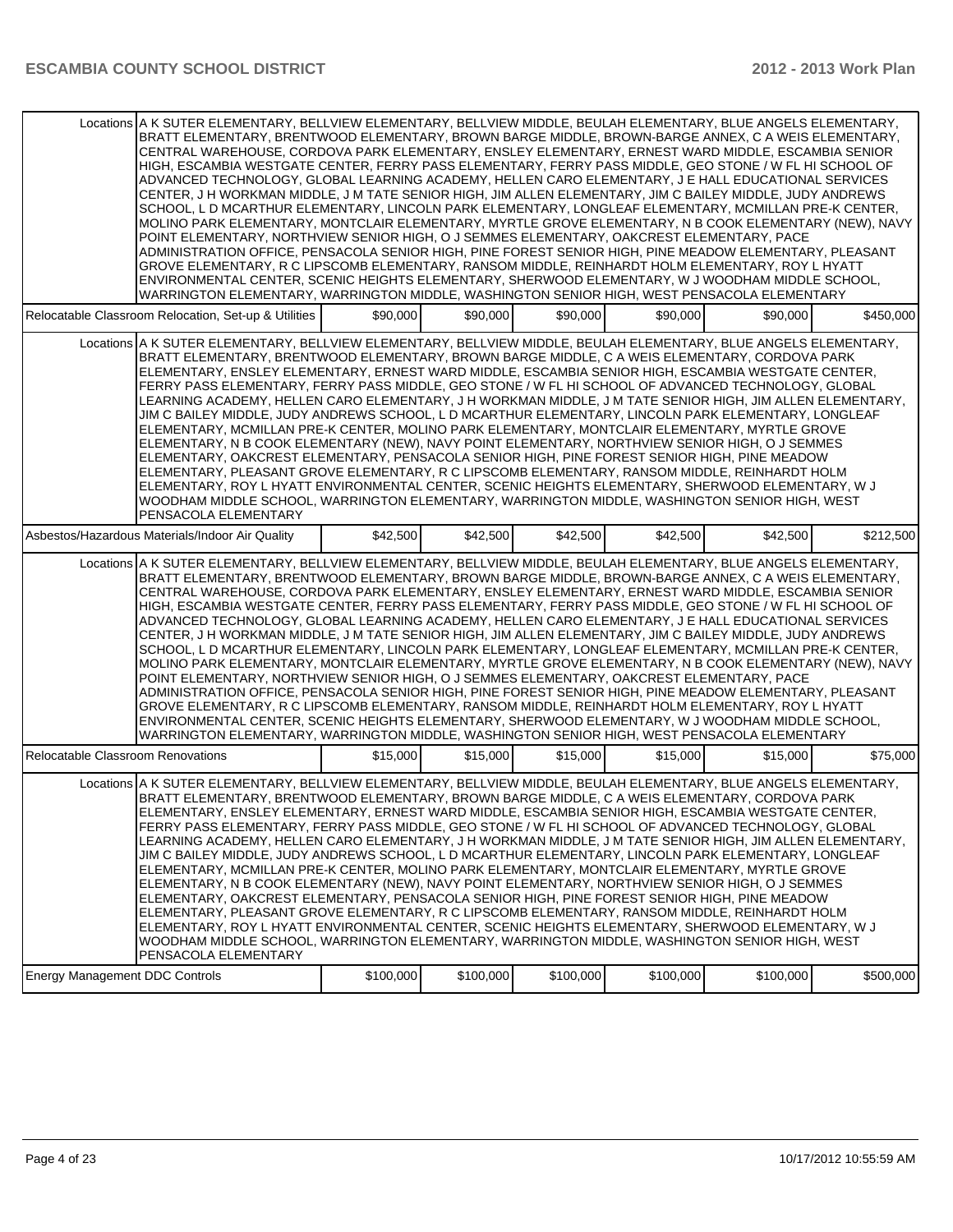|                                                      | Locations A K SUTER ELEMENTARY, BELLVIEW ELEMENTARY, BELLVIEW MIDDLE, BEULAH ELEMENTARY, BLUE ANGELS ELEMENTARY,<br>BRATT ELEMENTARY, BRENTWOOD ELEMENTARY, BROWN BARGE MIDDLE, BROWN-BARGE ANNEX, C A WEIS ELEMENTARY,<br>CENTRAL WAREHOUSE, CORDOVA PARK ELEMENTARY, ENSLEY ELEMENTARY, ERNEST WARD MIDDLE, ESCAMBIA SENIOR<br>HIGH, ESCAMBIA WESTGATE CENTER, FERRY PASS ELEMENTARY, FERRY PASS MIDDLE, GEO STONE / W FL HI SCHOOL OF<br>ADVANCED TECHNOLOGY, GLOBAL LEARNING ACADEMY, HELLEN CARO ELEMENTARY, J E HALL EDUCATIONAL SERVICES<br>CENTER, J H WORKMAN MIDDLE, J M TATE SENIOR HIGH, JIM ALLEN ELEMENTARY, JIM C BAILEY MIDDLE, JUDY ANDREWS<br>SCHOOL, L D MCARTHUR ELEMENTARY, LINCOLN PARK ELEMENTARY, LONGLEAF ELEMENTARY, MCMILLAN PRE-K CENTER,<br>MOLINO PARK ELEMENTARY, MONTCLAIR ELEMENTARY, MYRTLE GROVE ELEMENTARY, N B COOK ELEMENTARY (NEW), NAVY<br>POINT ELEMENTARY, NORTHVIEW SENIOR HIGH, O J SEMMES ELEMENTARY, OAKCREST ELEMENTARY, PACE<br>ADMINISTRATION OFFICE, PENSACOLA SENIOR HIGH, PINE FOREST SENIOR HIGH, PINE MEADOW ELEMENTARY, PLEASANT<br>GROVE ELEMENTARY, R C LIPSCOMB ELEMENTARY, RANSOM MIDDLE, REINHARDT HOLM ELEMENTARY, ROY L HYATT<br>ENVIRONMENTAL CENTER, SCENIC HEIGHTS ELEMENTARY, SHERWOOD ELEMENTARY, W J WOODHAM MIDDLE SCHOOL,<br>WARRINGTON ELEMENTARY, WARRINGTON MIDDLE, WASHINGTON SENIOR HIGH, WEST PENSACOLA ELEMENTARY |           |           |           |           |           |           |
|------------------------------------------------------|------------------------------------------------------------------------------------------------------------------------------------------------------------------------------------------------------------------------------------------------------------------------------------------------------------------------------------------------------------------------------------------------------------------------------------------------------------------------------------------------------------------------------------------------------------------------------------------------------------------------------------------------------------------------------------------------------------------------------------------------------------------------------------------------------------------------------------------------------------------------------------------------------------------------------------------------------------------------------------------------------------------------------------------------------------------------------------------------------------------------------------------------------------------------------------------------------------------------------------------------------------------------------------------------------------------------------------------------------------------------------------------------|-----------|-----------|-----------|-----------|-----------|-----------|
| Relocatable Classroom Relocation, Set-up & Utilities |                                                                                                                                                                                                                                                                                                                                                                                                                                                                                                                                                                                                                                                                                                                                                                                                                                                                                                                                                                                                                                                                                                                                                                                                                                                                                                                                                                                                | \$90,000  | \$90,000  | \$90,000  | \$90,000  | \$90,000  | \$450,000 |
|                                                      | Locations A K SUTER ELEMENTARY, BELLVIEW ELEMENTARY, BELLVIEW MIDDLE, BEULAH ELEMENTARY, BLUE ANGELS ELEMENTARY,<br>BRATT ELEMENTARY, BRENTWOOD ELEMENTARY, BROWN BARGE MIDDLE, C A WEIS ELEMENTARY, CORDOVA PARK<br>ELEMENTARY, ENSLEY ELEMENTARY, ERNEST WARD MIDDLE, ESCAMBIA SENIOR HIGH, ESCAMBIA WESTGATE CENTER,<br>FERRY PASS ELEMENTARY, FERRY PASS MIDDLE, GEO STONE / W FL HI SCHOOL OF ADVANCED TECHNOLOGY, GLOBAL<br>LEARNING ACADEMY, HELLEN CARO ELEMENTARY, J H WORKMAN MIDDLE, J M TATE SENIOR HIGH, JIM ALLEN ELEMENTARY,<br>JIM C BAILEY MIDDLE, JUDY ANDREWS SCHOOL, L D MCARTHUR ELEMENTARY, LINCOLN PARK ELEMENTARY, LONGLEAF<br>ELEMENTARY, MCMILLAN PRE-K CENTER, MOLINO PARK ELEMENTARY, MONTCLAIR ELEMENTARY, MYRTLE GROVE<br>ELEMENTARY, N B COOK ELEMENTARY (NEW), NAVY POINT ELEMENTARY, NORTHVIEW SENIOR HIGH, O J SEMMES<br>ELEMENTARY, OAKCREST ELEMENTARY, PENSACOLA SENIOR HIGH, PINE FOREST SENIOR HIGH, PINE MEADOW<br>ELEMENTARY, PLEASANT GROVE ELEMENTARY, R C LIPSCOMB ELEMENTARY, RANSOM MIDDLE, REINHARDT HOLM<br>ELEMENTARY, ROY L HYATT ENVIRONMENTAL CENTER, SCENIC HEIGHTS ELEMENTARY, SHERWOOD ELEMENTARY, W J<br>WOODHAM MIDDLE SCHOOL, WARRINGTON ELEMENTARY, WARRINGTON MIDDLE, WASHINGTON SENIOR HIGH, WEST<br>PENSACOLA ELEMENTARY                                                                                                         |           |           |           |           |           |           |
| Asbestos/Hazardous Materials/Indoor Air Quality      |                                                                                                                                                                                                                                                                                                                                                                                                                                                                                                                                                                                                                                                                                                                                                                                                                                                                                                                                                                                                                                                                                                                                                                                                                                                                                                                                                                                                | \$42,500  | \$42,500  | \$42,500  | \$42,500  | \$42,500  | \$212,500 |
|                                                      | Locations A K SUTER ELEMENTARY, BELLVIEW ELEMENTARY, BELLVIEW MIDDLE, BEULAH ELEMENTARY, BLUE ANGELS ELEMENTARY,<br>BRATT ELEMENTARY, BRENTWOOD ELEMENTARY, BROWN BARGE MIDDLE, BROWN-BARGE ANNEX, C A WEIS ELEMENTARY,<br>CENTRAL WAREHOUSE, CORDOVA PARK ELEMENTARY, ENSLEY ELEMENTARY, ERNEST WARD MIDDLE, ESCAMBIA SENIOR<br>HIGH, ESCAMBIA WESTGATE CENTER, FERRY PASS ELEMENTARY, FERRY PASS MIDDLE, GEO STONE / W FL HI SCHOOL OF<br>ADVANCED TECHNOLOGY, GLOBAL LEARNING ACADEMY, HELLEN CARO ELEMENTARY, J E HALL EDUCATIONAL SERVICES<br>CENTER, J H WORKMAN MIDDLE, J M TATE SENIOR HIGH, JIM ALLEN ELEMENTARY, JIM C BAILEY MIDDLE, JUDY ANDREWS<br>SCHOOL, L D MCARTHUR ELEMENTARY, LINCOLN PARK ELEMENTARY, LONGLEAF ELEMENTARY, MCMILLAN PRE-K CENTER,<br>MOLINO PARK ELEMENTARY, MONTCLAIR ELEMENTARY, MYRTLE GROVE ELEMENTARY, N B COOK ELEMENTARY (NEW), NAVY<br>POINT ELEMENTARY, NORTHVIEW SENIOR HIGH, O J SEMMES ELEMENTARY, OAKCREST ELEMENTARY, PACE<br>ADMINISTRATION OFFICE, PENSACOLA SENIOR HIGH, PINE FOREST SENIOR HIGH, PINE MEADOW ELEMENTARY, PLEASANT<br>GROVE ELEMENTARY, R C LIPSCOMB ELEMENTARY, RANSOM MIDDLE, REINHARDT HOLM ELEMENTARY, ROY L HYATT<br>ENVIRONMENTAL CENTER, SCENIC HEIGHTS ELEMENTARY, SHERWOOD ELEMENTARY, W J WOODHAM MIDDLE SCHOOL,<br>WARRINGTON ELEMENTARY, WARRINGTON MIDDLE, WASHINGTON SENIOR HIGH, WEST PENSACOLA ELEMENTARY |           |           |           |           |           |           |
| Relocatable Classroom Renovations                    |                                                                                                                                                                                                                                                                                                                                                                                                                                                                                                                                                                                                                                                                                                                                                                                                                                                                                                                                                                                                                                                                                                                                                                                                                                                                                                                                                                                                | \$15,000  | \$15,000  | \$15,000  | \$15,000  | \$15,000  | \$75,000  |
|                                                      | Locations A K SUTER ELEMENTARY, BELLVIEW ELEMENTARY, BELLVIEW MIDDLE, BEULAH ELEMENTARY, BLUE ANGELS ELEMENTARY,<br>BRATT ELEMENTARY, BRENTWOOD ELEMENTARY, BROWN BARGE MIDDLE, C A WEIS ELEMENTARY, CORDOVA PARK<br>ELEMENTARY, ENSLEY ELEMENTARY, ERNEST WARD MIDDLE, ESCAMBIA SENIOR HIGH, ESCAMBIA WESTGATE CENTER,<br>FERRY PASS ELEMENTARY, FERRY PASS MIDDLE, GEO STONE / W FL HI SCHOOL OF ADVANCED TECHNOLOGY, GLOBAL<br>LEARNING ACADEMY, HELLEN CARO ELEMENTARY, J H WORKMAN MIDDLE, J M TATE SENIOR HIGH, JIM ALLEN ELEMENTARY,<br>JIM C BAILEY MIDDLE, JUDY ANDREWS SCHOOL, L D MCARTHUR ELEMENTARY, LINCOLN PARK ELEMENTARY, LONGLEAF<br>ELEMENTARY, MCMILLAN PRE-K CENTER, MOLINO PARK ELEMENTARY, MONTCLAIR ELEMENTARY, MYRTLE GROVE<br>ELEMENTARY, N B COOK ELEMENTARY (NEW), NAVY POINT ELEMENTARY, NORTHVIEW SENIOR HIGH, O J SEMMES<br>ELEMENTARY, OAKCREST ELEMENTARY, PENSACOLA SENIOR HIGH, PINE FOREST SENIOR HIGH, PINE MEADOW<br>ELEMENTARY, PLEASANT GROVE ELEMENTARY, R C LIPSCOMB ELEMENTARY, RANSOM MIDDLE, REINHARDT HOLM<br>ELEMENTARY, ROY L HYATT ENVIRONMENTAL CENTER, SCENIC HEIGHTS ELEMENTARY, SHERWOOD ELEMENTARY, W J<br>WOODHAM MIDDLE SCHOOL, WARRINGTON ELEMENTARY, WARRINGTON MIDDLE, WASHINGTON SENIOR HIGH, WEST<br>PENSACOLA ELEMENTARY                                                                                                         |           |           |           |           |           |           |
| Energy Management DDC Controls                       |                                                                                                                                                                                                                                                                                                                                                                                                                                                                                                                                                                                                                                                                                                                                                                                                                                                                                                                                                                                                                                                                                                                                                                                                                                                                                                                                                                                                | \$100,000 | \$100,000 | \$100,000 | \$100,000 | \$100,000 | \$500,000 |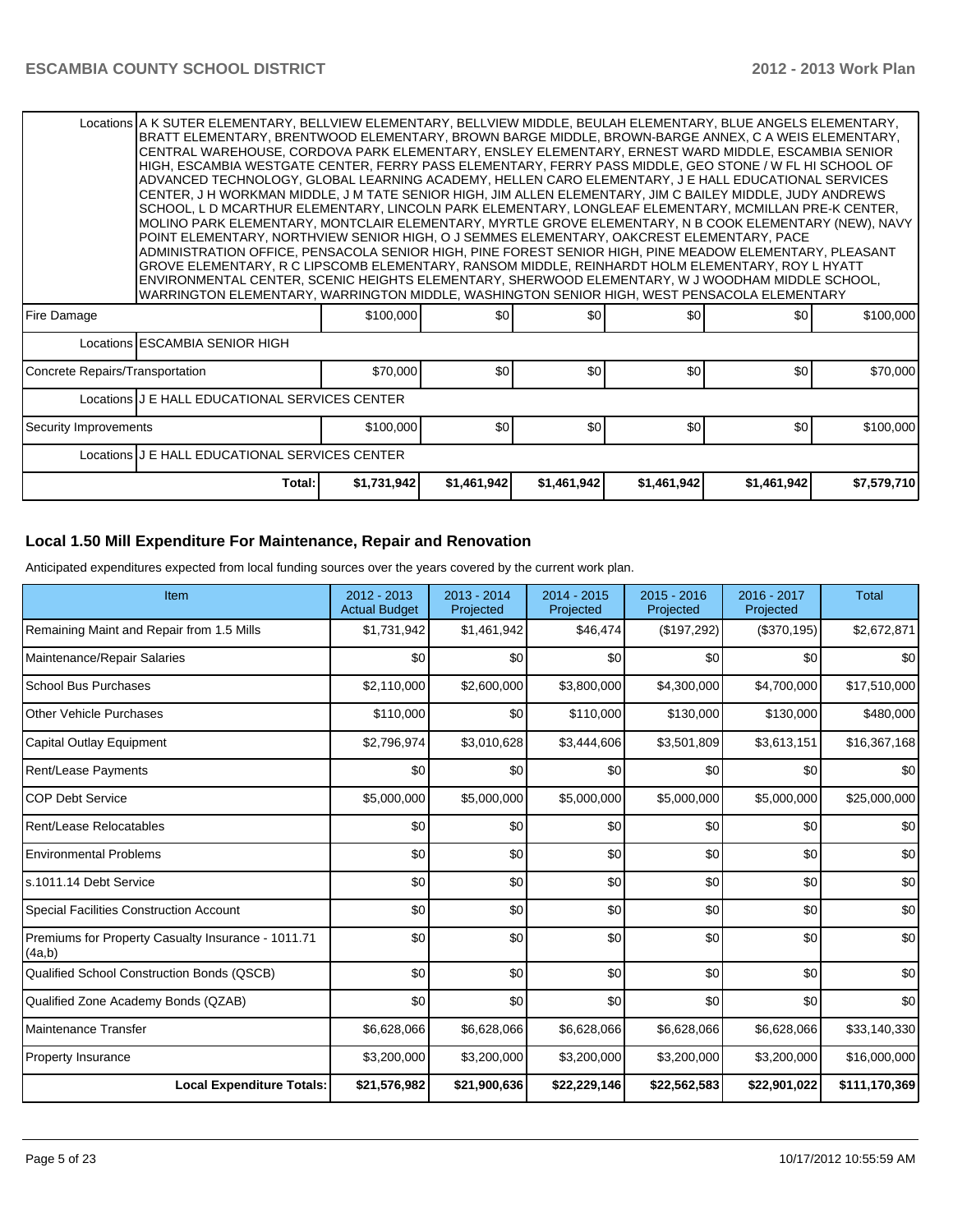|                                                                                                         | Locations A K SUTER ELEMENTARY, BELLVIEW ELEMENTARY, BELLVIEW MIDDLE, BEULAH ELEMENTARY, BLUE ANGELS ELEMENTARY,                                                                                               |             |                  |             |                  |                  |             |  |  |  |
|---------------------------------------------------------------------------------------------------------|----------------------------------------------------------------------------------------------------------------------------------------------------------------------------------------------------------------|-------------|------------------|-------------|------------------|------------------|-------------|--|--|--|
|                                                                                                         | BRATT ELEMENTARY, BRENTWOOD ELEMENTARY, BROWN BARGE MIDDLE, BROWN-BARGE ANNEX, C A WEIS ELEMENTARY,<br>CENTRAL WAREHOUSE, CORDOVA PARK ELEMENTARY, ENSLEY ELEMENTARY, ERNEST WARD MIDDLE, ESCAMBIA SENIOR      |             |                  |             |                  |                  |             |  |  |  |
|                                                                                                         | HIGH, ESCAMBIA WESTGATE CENTER, FERRY PASS ELEMENTARY, FERRY PASS MIDDLE, GEO STONE / W FL HI SCHOOL OF                                                                                                        |             |                  |             |                  |                  |             |  |  |  |
|                                                                                                         | ADVANCED TECHNOLOGY, GLOBAL LEARNING ACADEMY, HELLEN CARO ELEMENTARY, J E HALL EDUCATIONAL SERVICES                                                                                                            |             |                  |             |                  |                  |             |  |  |  |
|                                                                                                         | CENTER, J H WORKMAN MIDDLE, J M TATE SENIOR HIGH, JIM ALLEN ELEMENTARY, JIM C BAILEY MIDDLE, JUDY ANDREWS                                                                                                      |             |                  |             |                  |                  |             |  |  |  |
|                                                                                                         | SCHOOL, LD MCARTHUR ELEMENTARY, LINCOLN PARK ELEMENTARY, LONGLEAF ELEMENTARY, MCMILLAN PRE-K CENTER,<br>MOLINO PARK ELEMENTARY, MONTCLAIR ELEMENTARY, MYRTLE GROVE ELEMENTARY, N B COOK ELEMENTARY (NEW), NAVY |             |                  |             |                  |                  |             |  |  |  |
|                                                                                                         | POINT ELEMENTARY, NORTHVIEW SENIOR HIGH, O J SEMMES ELEMENTARY, OAKCREST ELEMENTARY, PACE                                                                                                                      |             |                  |             |                  |                  |             |  |  |  |
| ADMINISTRATION OFFICE, PENSACOLA SENIOR HIGH, PINE FOREST SENIOR HIGH, PINE MEADOW ELEMENTARY, PLEASANT |                                                                                                                                                                                                                |             |                  |             |                  |                  |             |  |  |  |
|                                                                                                         | GROVE ELEMENTARY, R C LIPSCOMB ELEMENTARY, RANSOM MIDDLE, REINHARDT HOLM ELEMENTARY, ROY L HYATT                                                                                                               |             |                  |             |                  |                  |             |  |  |  |
|                                                                                                         | ENVIRONMENTAL CENTER, SCENIC HEIGHTS ELEMENTARY, SHERWOOD ELEMENTARY, W J WOODHAM MIDDLE SCHOOL,                                                                                                               |             |                  |             |                  |                  |             |  |  |  |
|                                                                                                         | WARRINGTON ELEMENTARY, WARRINGTON MIDDLE, WASHINGTON SENIOR HIGH, WEST PENSACOLA ELEMENTARY                                                                                                                    |             |                  |             |                  |                  |             |  |  |  |
| Fire Damage                                                                                             |                                                                                                                                                                                                                | \$100,000   | \$0              | \$0         | \$0              | \$0              | \$100,000   |  |  |  |
|                                                                                                         | Locations ESCAMBIA SENIOR HIGH                                                                                                                                                                                 |             |                  |             |                  |                  |             |  |  |  |
| Concrete Repairs/Transportation                                                                         |                                                                                                                                                                                                                | \$70,000    | \$0              | \$0         | \$0 <sub>1</sub> | \$0              | \$70,000    |  |  |  |
|                                                                                                         | Locations J E HALL EDUCATIONAL SERVICES CENTER                                                                                                                                                                 |             |                  |             |                  |                  |             |  |  |  |
| Security Improvements                                                                                   |                                                                                                                                                                                                                | \$100,000   | \$0 <sub>l</sub> | \$0         | \$0 <sub>1</sub> | \$0 <sub>1</sub> | \$100,000   |  |  |  |
|                                                                                                         | Locations J E HALL EDUCATIONAL SERVICES CENTER                                                                                                                                                                 |             |                  |             |                  |                  |             |  |  |  |
|                                                                                                         | Total:                                                                                                                                                                                                         | \$1,731,942 | \$1,461,942      | \$1,461,942 | \$1,461,942      | \$1,461,942      | \$7,579,710 |  |  |  |

### **Local 1.50 Mill Expenditure For Maintenance, Repair and Renovation**

Anticipated expenditures expected from local funding sources over the years covered by the current work plan.

| Item                                                         | 2012 - 2013<br><b>Actual Budget</b> | $2013 - 2014$<br>Projected | 2014 - 2015<br>Projected | 2015 - 2016<br>Projected | 2016 - 2017<br>Projected | <b>Total</b>  |
|--------------------------------------------------------------|-------------------------------------|----------------------------|--------------------------|--------------------------|--------------------------|---------------|
| Remaining Maint and Repair from 1.5 Mills                    | \$1,731,942                         | \$1,461,942                | \$46,474                 | (\$197,292)              | (\$370,195)              | \$2,672,871   |
| Maintenance/Repair Salaries                                  | \$0                                 | \$0                        | \$0                      | \$0                      | \$0                      | \$0           |
| <b>School Bus Purchases</b>                                  | \$2,110,000                         | \$2,600,000                | \$3,800,000              | \$4,300,000              | \$4,700,000              | \$17,510,000  |
| Other Vehicle Purchases                                      | \$110,000                           | \$0                        | \$110,000                | \$130,000                | \$130,000                | \$480,000     |
| Capital Outlay Equipment                                     | \$2,796,974                         | \$3,010,628                | \$3,444,606              | \$3,501,809              | \$3,613,151              | \$16,367,168  |
| Rent/Lease Payments                                          | \$0                                 | \$0                        | \$0                      | \$0                      | \$0                      | \$0           |
| <b>COP Debt Service</b>                                      | \$5,000,000                         | \$5,000,000                | \$5,000,000              | \$5,000,000              | \$5,000,000              | \$25,000,000  |
| Rent/Lease Relocatables                                      | \$0                                 | \$0                        | \$0                      | \$0                      | \$0                      | \$0           |
| <b>Environmental Problems</b>                                | \$0                                 | \$0                        | \$0                      | \$0                      | \$0                      | \$0           |
| ls.1011.14 Debt Service                                      | \$0                                 | \$0                        | \$0                      | \$0                      | \$0                      | \$0           |
| Special Facilities Construction Account                      | \$0                                 | \$0                        | \$0                      | \$0                      | \$0                      | \$0           |
| Premiums for Property Casualty Insurance - 1011.71<br>(4a,b) | \$0                                 | \$0                        | \$0                      | \$0                      | \$0                      | \$0           |
| Qualified School Construction Bonds (QSCB)                   | \$0                                 | \$0                        | \$0                      | \$0                      | \$0                      | \$0           |
| Qualified Zone Academy Bonds (QZAB)                          | \$0                                 | \$0                        | \$0                      | \$0                      | \$0                      | \$0           |
| Maintenance Transfer                                         | \$6,628,066                         | \$6,628,066                | \$6,628,066              | \$6,628,066              | \$6,628,066              | \$33,140,330  |
| <b>Property Insurance</b>                                    | \$3,200,000                         | \$3,200,000                | \$3,200,000              | \$3,200,000              | \$3,200,000              | \$16,000,000  |
| <b>Local Expenditure Totals:</b>                             | \$21,576,982                        | \$21,900,636               | \$22,229,146             | \$22,562,583             | \$22,901,022             | \$111,170,369 |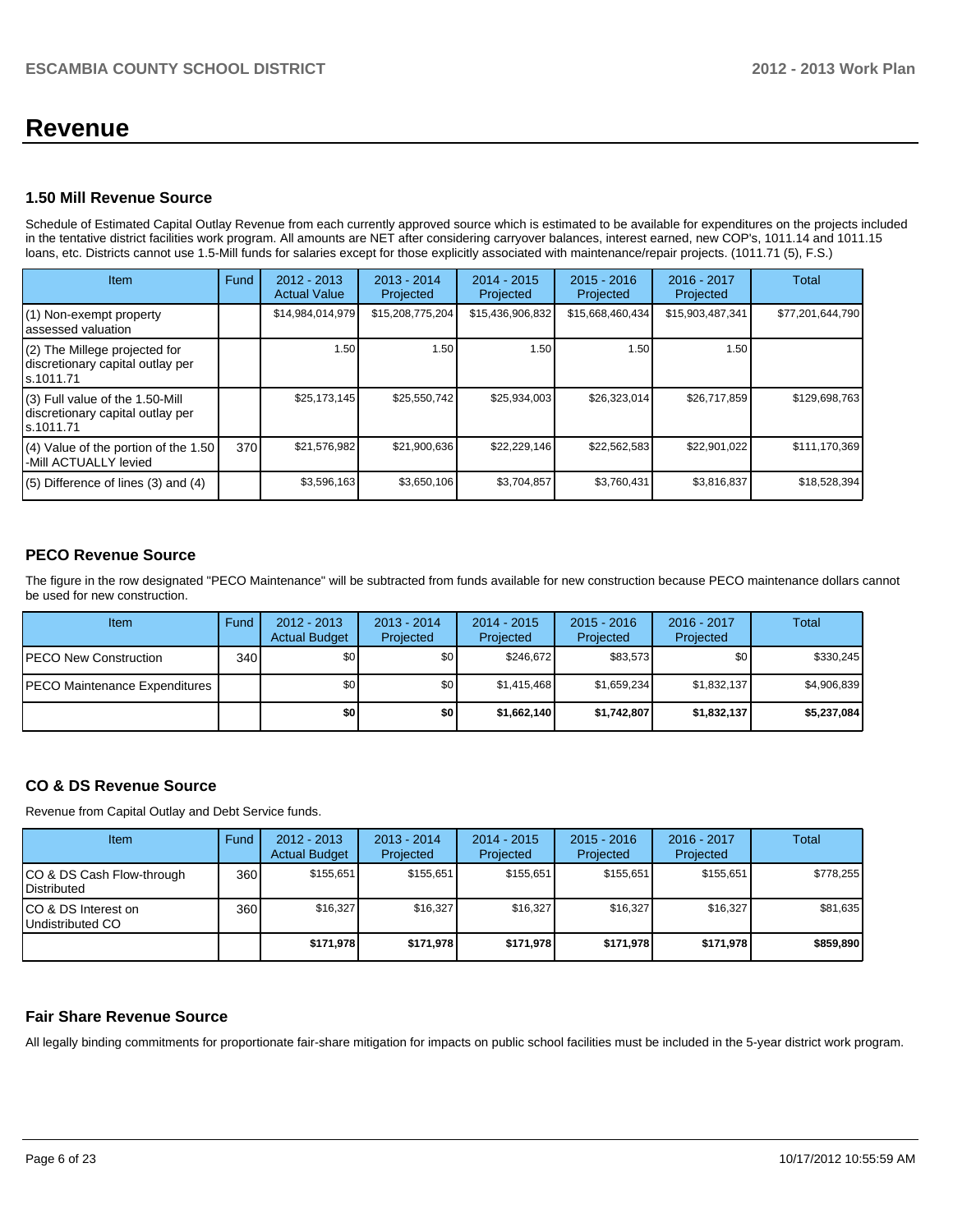## **Revenue**

#### **1.50 Mill Revenue Source**

Schedule of Estimated Capital Outlay Revenue from each currently approved source which is estimated to be available for expenditures on the projects included in the tentative district facilities work program. All amounts are NET after considering carryover balances, interest earned, new COP's, 1011.14 and 1011.15 loans, etc. Districts cannot use 1.5-Mill funds for salaries except for those explicitly associated with maintenance/repair projects. (1011.71 (5), F.S.)

| Item                                                                             | Fund | $2012 - 2013$<br><b>Actual Value</b> | $2013 - 2014$<br>Projected | $2014 - 2015$<br>Projected | $2015 - 2016$<br>Projected | 2016 - 2017<br>Projected | Total            |
|----------------------------------------------------------------------------------|------|--------------------------------------|----------------------------|----------------------------|----------------------------|--------------------------|------------------|
| (1) Non-exempt property<br>assessed valuation                                    |      | \$14,984,014,979                     | \$15,208,775,204           | \$15,436,906,832           | \$15,668,460,434           | \$15,903,487,341         | \$77,201,644,790 |
| (2) The Millege projected for<br>discretionary capital outlay per<br>ls.1011.71  |      | 1.50                                 | 1.50                       | 1.50 <sub>1</sub>          | 1.50                       | 1.50                     |                  |
| (3) Full value of the 1.50-Mill<br>discretionary capital outlay per<br>s.1011.71 |      | \$25,173,145                         | \$25,550,742               | \$25,934,003               | \$26,323,014               | \$26.717.859             | \$129,698,763    |
| $(4)$ Value of the portion of the 1.50<br>-Mill ACTUALLY levied                  | 370  | \$21,576,982                         | \$21,900,636               | \$22,229,146               | \$22,562,583               | \$22,901,022             | \$111,170,369    |
| $(5)$ Difference of lines $(3)$ and $(4)$                                        |      | \$3,596,163                          | \$3,650,106                | \$3,704,857                | \$3,760,431                | \$3,816,837              | \$18,528,394     |

#### **PECO Revenue Source**

The figure in the row designated "PECO Maintenance" will be subtracted from funds available for new construction because PECO maintenance dollars cannot be used for new construction.

| Item                                  | Fund             | $2012 - 2013$<br><b>Actual Budget</b> | $2013 - 2014$<br>Projected | $2014 - 2015$<br>Projected | $2015 - 2016$<br>Projected | $2016 - 2017$<br>Projected | Total       |
|---------------------------------------|------------------|---------------------------------------|----------------------------|----------------------------|----------------------------|----------------------------|-------------|
| <b>IPECO New Construction</b>         | 340 <sup>l</sup> | \$0 <sub>1</sub>                      | \$0 <sub>1</sub>           | \$246.672                  | \$83.573                   | \$0 I                      | \$330,245   |
| <b>IPECO Maintenance Expenditures</b> |                  | \$0                                   | \$0 <sub>1</sub>           | \$1.415.468                | \$1.659.234                | \$1,832,137                | \$4,906,839 |
|                                       |                  | \$0                                   | \$0                        | \$1,662,140                | \$1.742.807                | \$1,832,137                | \$5,237,084 |

#### **CO & DS Revenue Source**

Revenue from Capital Outlay and Debt Service funds.

| <b>Item</b>                                        | Fund | $2012 - 2013$<br><b>Actual Budget</b> | $2013 - 2014$<br>Projected | $2014 - 2015$<br>Projected | $2015 - 2016$<br>Projected | $2016 - 2017$<br>Projected | Total     |
|----------------------------------------------------|------|---------------------------------------|----------------------------|----------------------------|----------------------------|----------------------------|-----------|
| ICO & DS Cash Flow-through<br><b>I</b> Distributed | 360  | \$155.651                             | \$155.651                  | \$155.651                  | \$155.651                  | \$155.651                  | \$778,255 |
| ICO & DS Interest on<br>Undistributed CO           | 360  | \$16,327                              | \$16,327                   | \$16,327                   | \$16,327                   | \$16.327                   | \$81,635  |
|                                                    |      | \$171,978                             | \$171.978                  | \$171.978                  | \$171.978                  | \$171.978                  | \$859,890 |

#### **Fair Share Revenue Source**

All legally binding commitments for proportionate fair-share mitigation for impacts on public school facilities must be included in the 5-year district work program.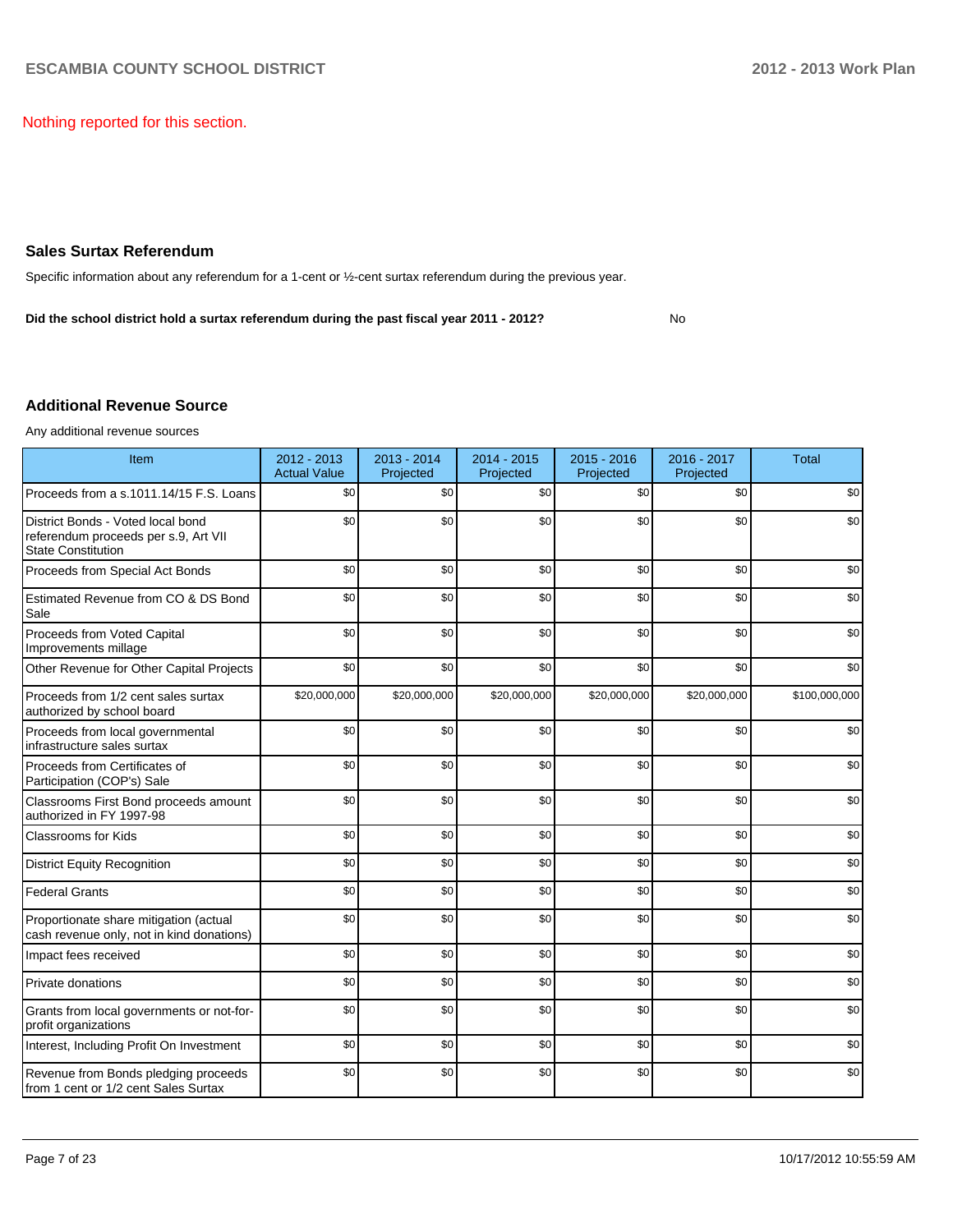Nothing reported for this section.

#### **Sales Surtax Referendum**

Specific information about any referendum for a 1-cent or ½-cent surtax referendum during the previous year.

**Did the school district hold a surtax referendum during the past fiscal year 2011 - 2012?**

#### No

#### **Additional Revenue Source**

Any additional revenue sources

| Item                                                                                                   | 2012 - 2013<br><b>Actual Value</b> | $2013 - 2014$<br>Projected | $2014 - 2015$<br>Projected | $2015 - 2016$<br>Projected | 2016 - 2017<br>Projected | <b>Total</b>  |
|--------------------------------------------------------------------------------------------------------|------------------------------------|----------------------------|----------------------------|----------------------------|--------------------------|---------------|
| Proceeds from a s.1011.14/15 F.S. Loans                                                                | \$0                                | \$0                        | \$0                        | \$0                        | \$0                      | \$0           |
| District Bonds - Voted local bond<br>referendum proceeds per s.9, Art VII<br><b>State Constitution</b> | \$0                                | \$0                        | \$0                        | \$0                        | \$0                      | \$0           |
| Proceeds from Special Act Bonds                                                                        | \$0                                | \$0                        | \$0                        | \$0                        | \$0                      | \$0           |
| Estimated Revenue from CO & DS Bond<br>Sale                                                            | \$0                                | \$0                        | \$0                        | \$0                        | \$0                      | \$0           |
| Proceeds from Voted Capital<br>Improvements millage                                                    | \$0                                | \$0                        | \$0                        | \$0                        | \$0                      | \$0           |
| Other Revenue for Other Capital Projects                                                               | \$0                                | \$0                        | \$0                        | \$0                        | \$0                      | \$0           |
| Proceeds from 1/2 cent sales surtax<br>authorized by school board                                      | \$20,000,000                       | \$20,000,000               | \$20,000,000               | \$20,000,000               | \$20,000,000             | \$100,000,000 |
| Proceeds from local governmental<br>infrastructure sales surtax                                        | \$0                                | \$0                        | \$0                        | \$0                        | \$0                      | \$0           |
| Proceeds from Certificates of<br>Participation (COP's) Sale                                            | \$0                                | \$0                        | \$0                        | \$0                        | \$0                      | \$0           |
| Classrooms First Bond proceeds amount<br>authorized in FY 1997-98                                      | \$0                                | \$0                        | \$0                        | \$0                        | \$0                      | \$0           |
| <b>Classrooms for Kids</b>                                                                             | \$0                                | \$0                        | \$0                        | \$0                        | \$0                      | \$0           |
| <b>District Equity Recognition</b>                                                                     | \$0                                | \$0                        | \$0                        | \$0                        | \$0                      | \$0           |
| <b>Federal Grants</b>                                                                                  | \$0                                | \$0                        | \$0                        | \$0                        | \$0                      | \$0           |
| Proportionate share mitigation (actual<br>cash revenue only, not in kind donations)                    | \$0                                | \$0                        | \$0                        | \$0                        | \$0                      | \$0           |
| Impact fees received                                                                                   | \$0                                | \$0                        | \$0                        | \$0                        | \$0                      | \$0           |
| Private donations                                                                                      | \$0                                | \$0                        | \$0                        | \$0                        | \$0                      | \$0           |
| Grants from local governments or not-for-<br>profit organizations                                      | \$0                                | \$0                        | \$0                        | \$0                        | \$0                      | \$0           |
| Interest, Including Profit On Investment                                                               | \$0                                | \$0                        | \$0                        | \$0                        | \$0                      | \$0           |
| Revenue from Bonds pledging proceeds<br>from 1 cent or 1/2 cent Sales Surtax                           | \$0                                | \$0                        | \$0                        | \$0                        | \$0                      | \$0           |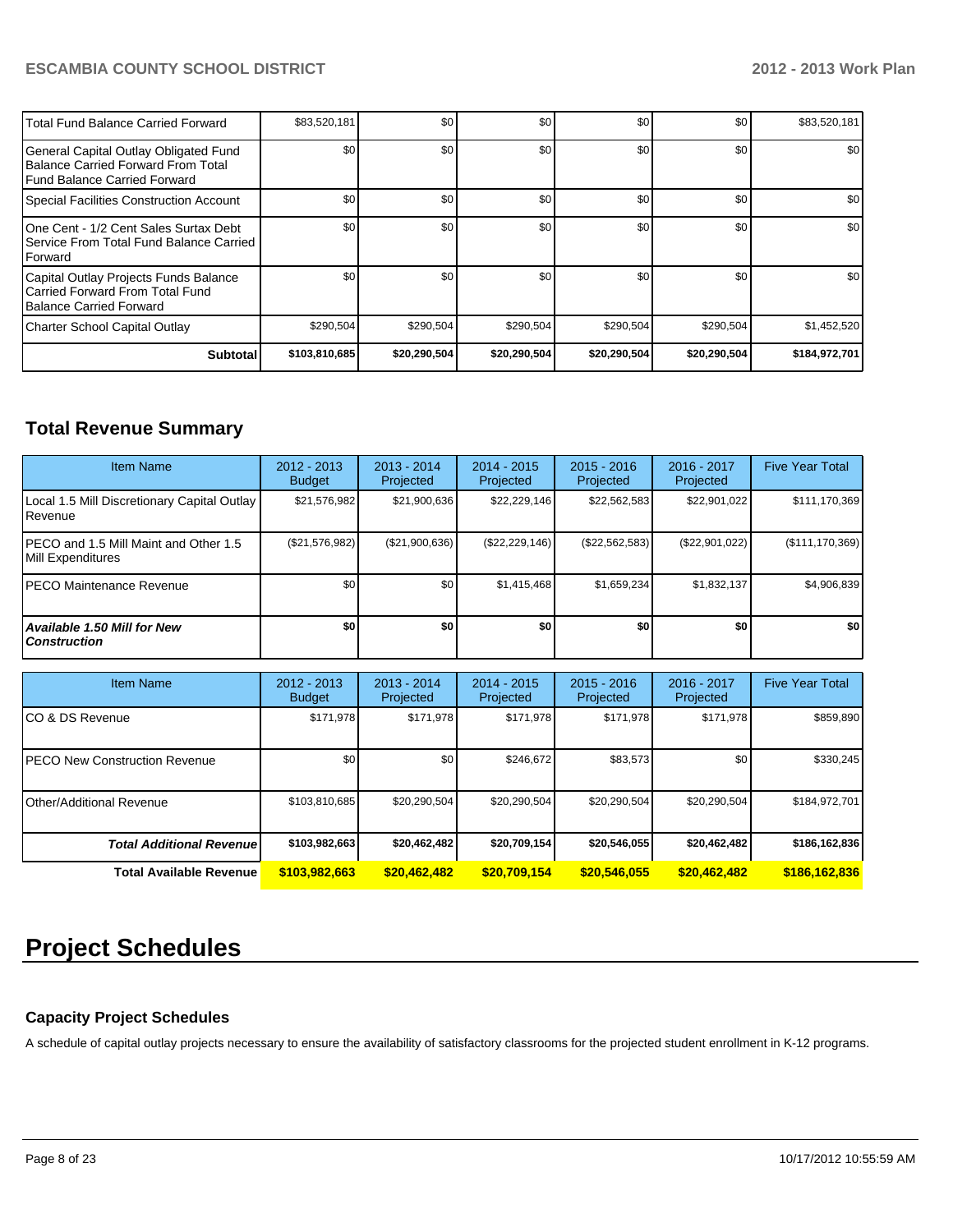| Total Fund Balance Carried Forward                                                                          | \$83,520,181  | \$0          | \$0          | \$0          | \$0          | \$83,520,181  |
|-------------------------------------------------------------------------------------------------------------|---------------|--------------|--------------|--------------|--------------|---------------|
| General Capital Outlay Obligated Fund<br>Balance Carried Forward From Total<br>Fund Balance Carried Forward | \$0           | \$0          | \$0          | \$0          | \$0          | \$0           |
| Special Facilities Construction Account                                                                     | \$0           | \$0          | \$0          | \$0          | \$0          | \$0           |
| 1One Cent - 1/2 Cent Sales Surtax Debt<br>l Service From Total Fund Balance Carried<br><b>IForward</b>      | \$0           | \$0          | \$0          | \$0          | \$0          | \$0           |
| Capital Outlay Projects Funds Balance<br>I Carried Forward From Total Fund<br>Balance Carried Forward       | \$0           | \$0          | \$0          | \$0          | \$0          | \$0           |
| Charter School Capital Outlay                                                                               | \$290,504     | \$290,504    | \$290,504    | \$290,504    | \$290,504    | \$1,452,520   |
| <b>Subtotal</b>                                                                                             | \$103,810,685 | \$20,290,504 | \$20,290,504 | \$20,290,504 | \$20,290,504 | \$184,972,701 |

### **Total Revenue Summary**

| <b>Item Name</b>                                               | $2012 - 2013$<br><b>Budget</b> | $2013 - 2014$<br>Projected | $2014 - 2015$<br>Projected | $2015 - 2016$<br>Projected | $2016 - 2017$<br>Projected | <b>Five Year Total</b> |
|----------------------------------------------------------------|--------------------------------|----------------------------|----------------------------|----------------------------|----------------------------|------------------------|
| Local 1.5 Mill Discretionary Capital Outlay<br><b>IRevenue</b> | \$21,576,982                   | \$21,900,636               | \$22,229,146               | \$22,562,583               | \$22,901,022               | \$111,170,369          |
| IPECO and 1.5 Mill Maint and Other 1.5<br>Mill Expenditures    | (S21, 576, 982)                | (\$21,900,636)             | (\$22, 229, 146)           | (\$22,562,583)             | (\$22,901,022)             | $(\$111,170,369)$      |
| <b>IPECO Maintenance Revenue</b>                               | \$0 <sub>1</sub>               | \$0 <sub>1</sub>           | \$1,415,468                | \$1,659,234                | \$1,832,137                | \$4,906,839            |
| Available 1.50 Mill for New<br><b>Construction</b>             | \$O                            | \$0                        | \$0                        | \$0                        | \$0                        | \$0                    |

| <b>Item Name</b>                      | 2012 - 2013<br><b>Budget</b> | $2013 - 2014$<br>Projected | 2014 - 2015<br>Projected | $2015 - 2016$<br>Projected | 2016 - 2017<br>Projected | <b>Five Year Total</b> |
|---------------------------------------|------------------------------|----------------------------|--------------------------|----------------------------|--------------------------|------------------------|
| ICO & DS Revenue                      | \$171,978                    | \$171,978                  | \$171,978                | \$171,978                  | \$171,978                | \$859,890              |
| <b>IPECO New Construction Revenue</b> | \$0                          | \$0                        | \$246.672                | \$83,573                   | \$0                      | \$330,245              |
| Other/Additional Revenue              | \$103,810,685                | \$20.290.504               | \$20,290,504             | \$20,290,504               | \$20,290,504             | \$184,972,701          |
| <b>Total Additional Revenuel</b>      | \$103,982,663                | \$20,462,482               | \$20,709,154             | \$20,546,055               | \$20,462,482             | \$186,162,836          |
| <b>Total Available Revenue</b>        | \$103,982,663                | \$20,462,482               | \$20,709,154             | \$20,546,055               | \$20,462,482             | \$186,162,836          |

## **Project Schedules**

#### **Capacity Project Schedules**

A schedule of capital outlay projects necessary to ensure the availability of satisfactory classrooms for the projected student enrollment in K-12 programs.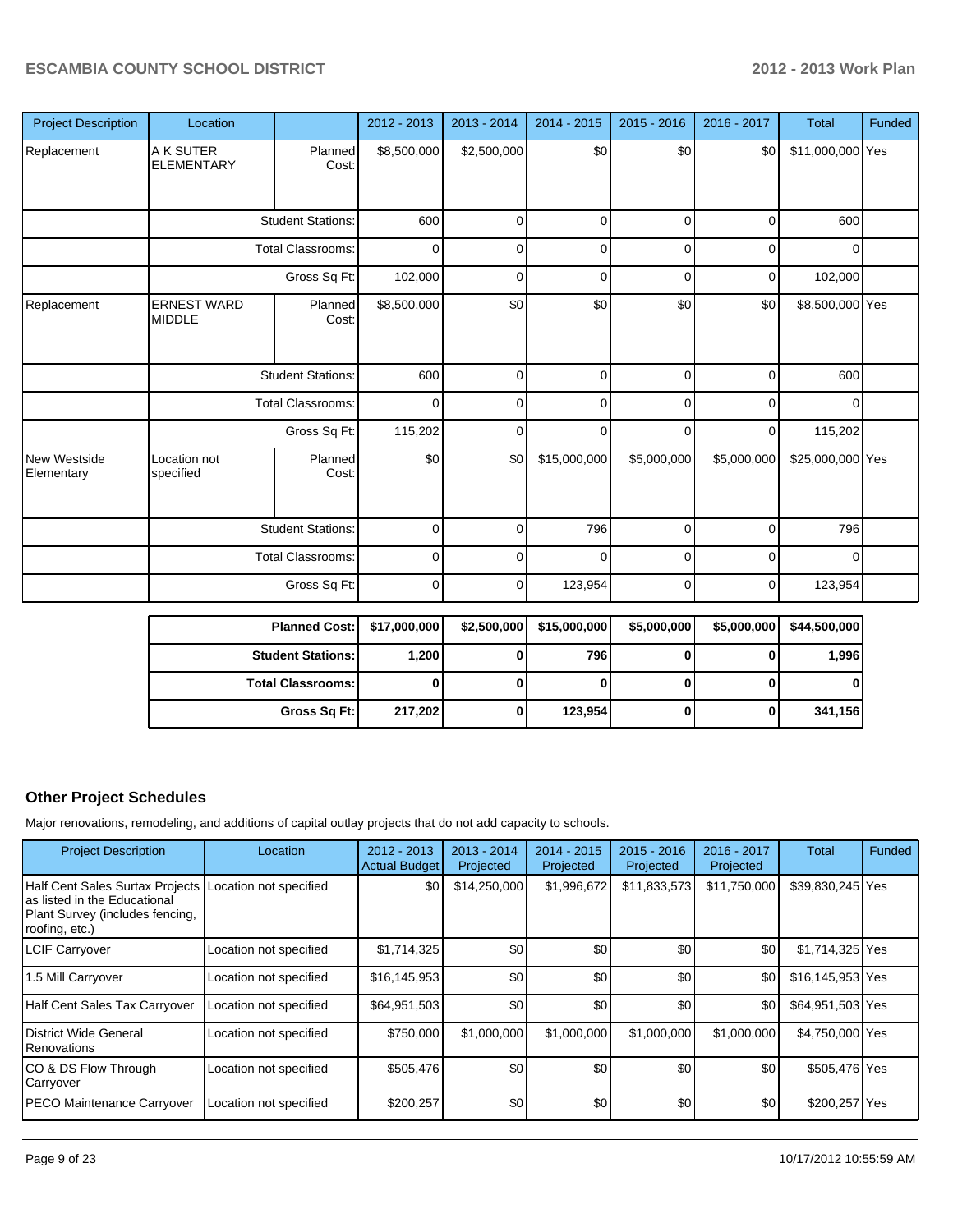| <b>Project Description</b> | Location                            |                          | 2012 - 2013 | $2013 - 2014$ | $2014 - 2015$ | $2015 - 2016$ | 2016 - 2017 | <b>Total</b>     | Funded |
|----------------------------|-------------------------------------|--------------------------|-------------|---------------|---------------|---------------|-------------|------------------|--------|
| Replacement                | A K SUTER<br><b>ELEMENTARY</b>      | Planned<br>Cost:         | \$8,500,000 | \$2,500,000   | \$0           | \$0           | \$0         | \$11,000,000 Yes |        |
|                            |                                     | <b>Student Stations:</b> | 600         | 0             | $\mathbf 0$   | 0             | $\mathbf 0$ | 600              |        |
|                            |                                     | <b>Total Classrooms:</b> | $\mathbf 0$ | $\mathbf{0}$  | $\mathbf 0$   | $\mathbf 0$   | $\mathbf 0$ | $\mathbf{0}$     |        |
|                            |                                     | Gross Sq Ft:             | 102,000     | $\Omega$      | 0             | $\mathbf 0$   | $\mathbf 0$ | 102,000          |        |
| Replacement                | <b>ERNEST WARD</b><br><b>MIDDLE</b> | Planned<br>Cost:         | \$8,500,000 | \$0           | \$0           | \$0           | \$0         | \$8,500,000 Yes  |        |
|                            |                                     | <b>Student Stations:</b> | 600         | $\Omega$      | $\mathbf 0$   | $\Omega$      | $\mathbf 0$ | 600              |        |
|                            |                                     | <b>Total Classrooms:</b> | $\mathbf 0$ | $\Omega$      | $\mathbf 0$   | $\Omega$      | $\mathbf 0$ | $\overline{0}$   |        |
|                            |                                     | Gross Sq Ft:             | 115,202     | $\Omega$      | $\mathbf 0$   | 0             | $\mathbf 0$ | 115,202          |        |
| New Westside<br>Elementary | Location not<br>specified           | Planned<br>Cost:         | \$0         | \$0           | \$15,000,000  | \$5,000,000   | \$5,000,000 | \$25,000,000 Yes |        |
|                            |                                     | <b>Student Stations:</b> | $\mathbf 0$ | 0             | 796           | $\mathbf 0$   | $\mathbf 0$ | 796              |        |
|                            |                                     | <b>Total Classrooms:</b> | 0           | 0             | 0             | $\mathbf 0$   | $\mathbf 0$ | $\mathbf{0}$     |        |
|                            |                                     | Gross Sq Ft:             | $\mathbf 0$ | $\Omega$      | 123,954       | $\mathbf 0$   | $\mathbf 0$ | 123,954          |        |

| <b>Planned Cost:</b>     | \$17,000,000 | \$2,500,000 | \$15,000,000 | \$5,000,000 | \$5,000,000 | \$44,500,000 |
|--------------------------|--------------|-------------|--------------|-------------|-------------|--------------|
| <b>Student Stations:</b> | 1,200        | 0           | 796          |             |             | 1,996        |
| <b>Total Classrooms:</b> |              |             |              |             |             |              |
| Gross Sq Ft:             | 217,202      | 0           | 123,954      | o           |             | 341,156      |

#### **Other Project Schedules**

Major renovations, remodeling, and additions of capital outlay projects that do not add capacity to schools.

| <b>Project Description</b>                                                                                                                  | Location               | $2012 - 2013$<br><b>Actual Budget</b> | $2013 - 2014$<br>Projected | $2014 - 2015$<br>Projected | $2015 - 2016$<br>Projected | 2016 - 2017<br>Projected | Total            | Funded |
|---------------------------------------------------------------------------------------------------------------------------------------------|------------------------|---------------------------------------|----------------------------|----------------------------|----------------------------|--------------------------|------------------|--------|
| Half Cent Sales Surtax Projects Location not specified<br>as listed in the Educational<br>Plant Survey (includes fencing,<br>roofing, etc.) |                        | \$0                                   | \$14,250,000               | \$1,996,672                | \$11,833,573               | \$11,750,000             | \$39,830,245 Yes |        |
| <b>LCIF Carryover</b>                                                                                                                       | Location not specified | \$1,714,325                           | \$0                        | \$0                        | \$0                        | \$0                      | \$1,714,325 Yes  |        |
| 1.5 Mill Carryover                                                                                                                          | Location not specified | \$16,145,953                          | \$0                        | \$0                        | \$0                        | \$0                      | \$16,145,953 Yes |        |
| <b>Half Cent Sales Tax Carryover</b>                                                                                                        | Location not specified | \$64,951,503                          | \$0                        | \$0                        | \$0                        | \$0                      | \$64,951,503 Yes |        |
| District Wide General<br>Renovations                                                                                                        | Location not specified | \$750,000                             | \$1,000,000                | \$1,000,000                | \$1,000,000                | \$1,000,000              | \$4,750,000 Yes  |        |
| ICO & DS Flow Through<br>Carryover                                                                                                          | Location not specified | \$505,476                             | \$0                        | \$0                        | \$0                        | \$0                      | \$505,476 Yes    |        |
| PECO Maintenance Carryover                                                                                                                  | Location not specified | \$200,257                             | \$0                        | \$0                        | \$0                        | \$0                      | \$200,257 Yes    |        |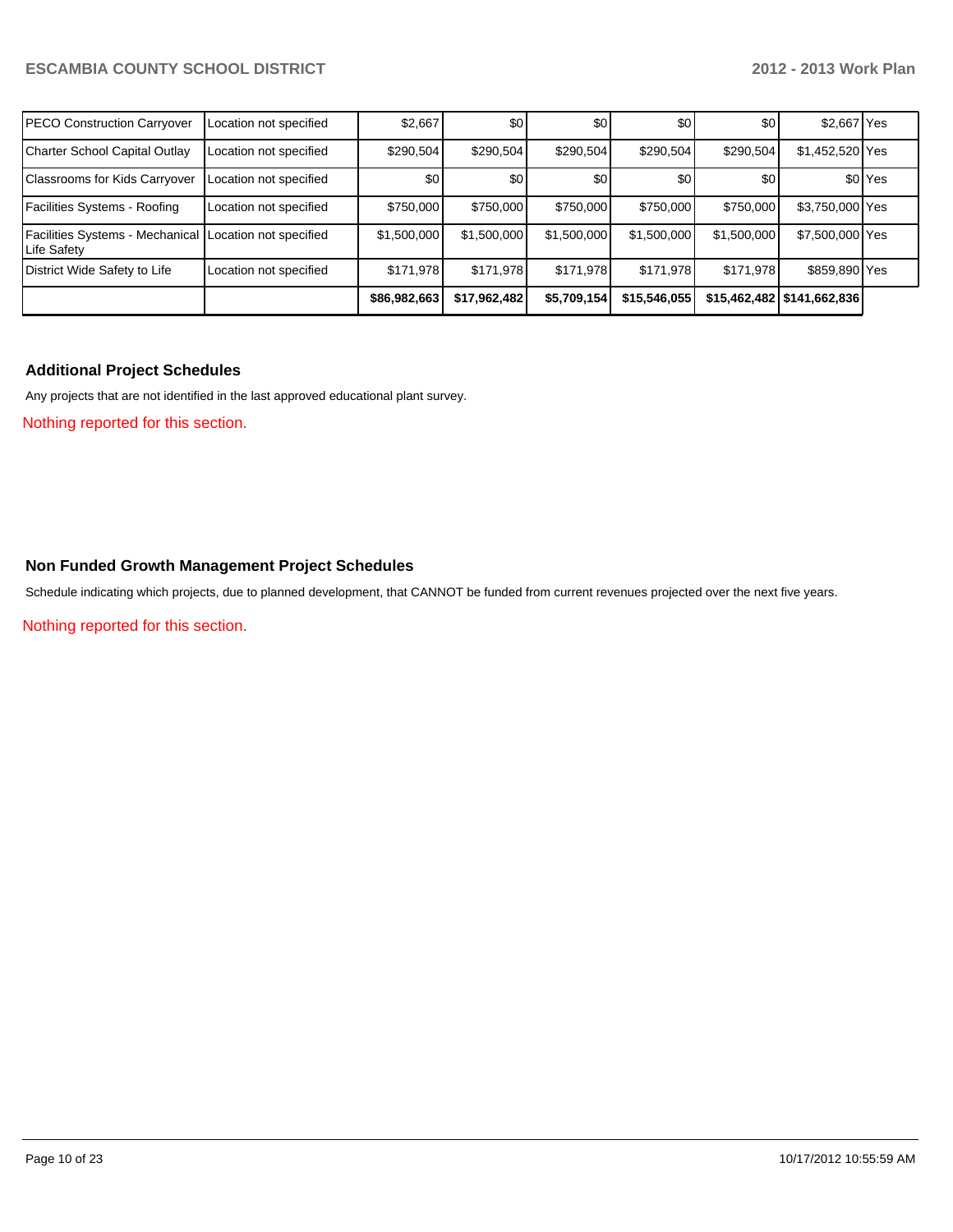| <b>PECO Construction Carryover</b>                                      | Location not specified | \$2,667      | \$0          | \$0         | \$0              | \$0         | \$2,667 Yes                  |                    |
|-------------------------------------------------------------------------|------------------------|--------------|--------------|-------------|------------------|-------------|------------------------------|--------------------|
| Charter School Capital Outlay                                           | Location not specified | \$290,504    | \$290.504    | \$290,504   | \$290,504        | \$290,504   | \$1,452,520 Yes              |                    |
| Classrooms for Kids Carryover                                           | Location not specified | \$0          | \$0          | \$0         | \$0 <sub>1</sub> | \$0         |                              | \$0 <sup>Yes</sup> |
| Facilities Systems - Roofing                                            | Location not specified | \$750,000    | \$750,000    | \$750,000   | \$750,000        | \$750,000   | \$3,750,000 Yes              |                    |
| Facilities Systems - Mechanical   Location not specified<br>Life Safety |                        | \$1,500,000  | \$1,500,000  | \$1,500,000 | \$1,500,000      | \$1,500,000 | \$7,500,000 Yes              |                    |
| District Wide Safety to Life                                            | Location not specified | \$171.978    | \$171.978    | \$171,978   | \$171.978        | \$171,978   | \$859,890 Yes                |                    |
|                                                                         |                        | \$86,982,663 | \$17,962,482 | \$5,709,154 | \$15,546,055     |             | \$15,462,482   \$141,662,836 |                    |

#### **Additional Project Schedules**

Any projects that are not identified in the last approved educational plant survey.

Nothing reported for this section.

#### **Non Funded Growth Management Project Schedules**

Schedule indicating which projects, due to planned development, that CANNOT be funded from current revenues projected over the next five years.

Nothing reported for this section.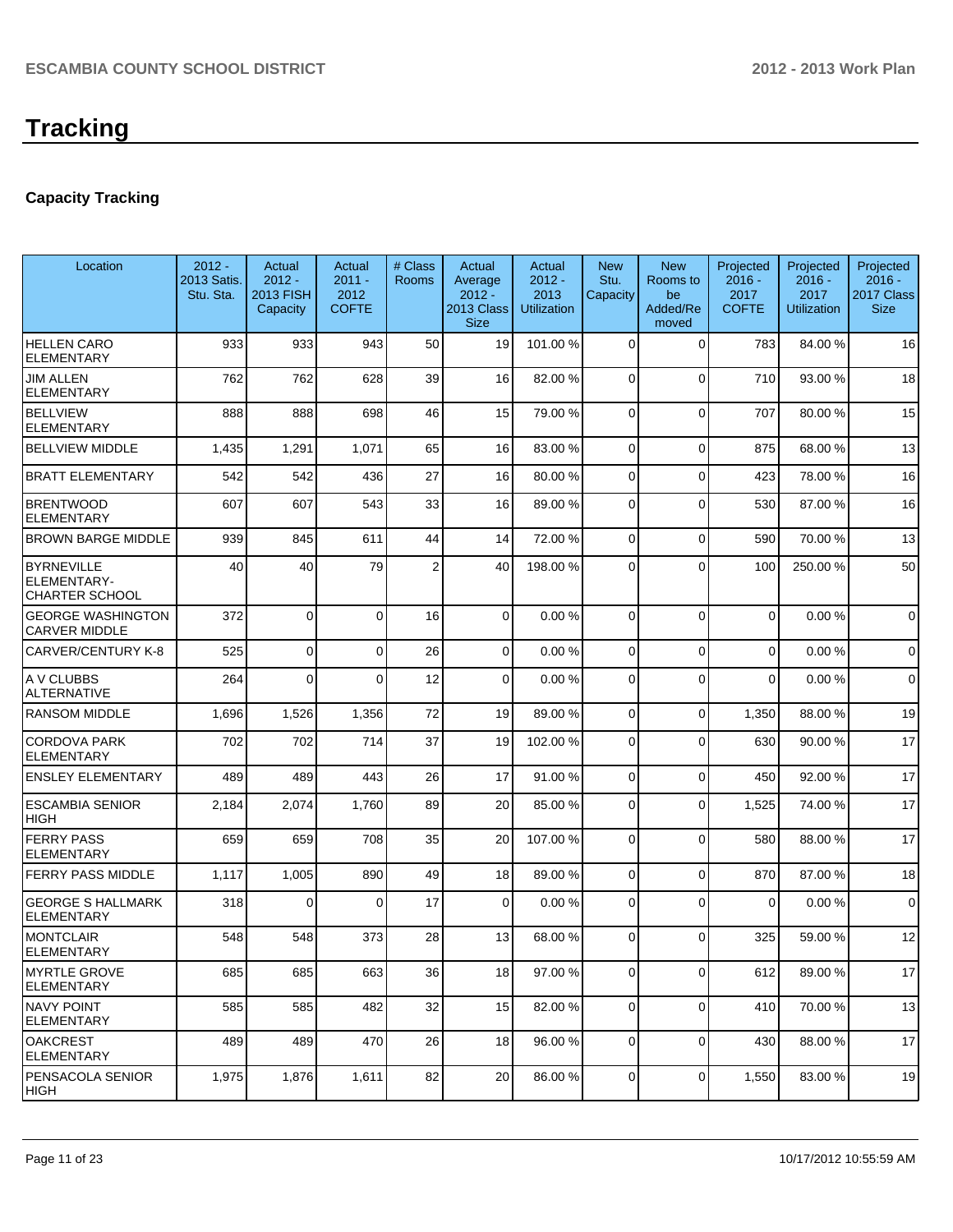### **Capacity Tracking**

| Location                                                         | $2012 -$<br>2013 Satis.<br>Stu. Sta. | Actual<br>$2012 -$<br><b>2013 FISH</b><br>Capacity | Actual<br>$2011 -$<br>2012<br><b>COFTE</b> | # Class<br><b>Rooms</b> | Actual<br>Average<br>$2012 -$<br>2013 Class<br><b>Size</b> | Actual<br>$2012 -$<br>2013<br><b>Utilization</b> | <b>New</b><br>Stu.<br>Capacity | <b>New</b><br>Rooms to<br>be<br>Added/Re<br>moved | Projected<br>$2016 -$<br>2017<br><b>COFTE</b> | Projected<br>$2016 -$<br>2017<br><b>Utilization</b> | Projected<br>$2016 -$<br>2017 Class<br><b>Size</b> |
|------------------------------------------------------------------|--------------------------------------|----------------------------------------------------|--------------------------------------------|-------------------------|------------------------------------------------------------|--------------------------------------------------|--------------------------------|---------------------------------------------------|-----------------------------------------------|-----------------------------------------------------|----------------------------------------------------|
| <b>HELLEN CARO</b><br><b>ELEMENTARY</b>                          | 933                                  | 933                                                | 943                                        | 50                      | 19                                                         | 101.00 %                                         | $\Omega$                       | $\Omega$                                          | 783                                           | 84.00%                                              | 16                                                 |
| <b>JIM ALLEN</b><br><b>ELEMENTARY</b>                            | 762                                  | 762                                                | 628                                        | 39                      | 16                                                         | 82.00 %                                          | $\Omega$                       | $\Omega$                                          | 710                                           | 93.00 %                                             | 18                                                 |
| <b>BELLVIEW</b><br><b>ELEMENTARY</b>                             | 888                                  | 888                                                | 698                                        | 46                      | 15                                                         | 79.00 %                                          | $\Omega$                       | $\Omega$                                          | 707                                           | 80.00%                                              | 15                                                 |
| <b>BELLVIEW MIDDLE</b>                                           | 1,435                                | 1,291                                              | 1,071                                      | 65                      | 16                                                         | 83.00 %                                          | $\overline{0}$                 | $\Omega$                                          | 875                                           | 68.00 %                                             | 13                                                 |
| <b>BRATT ELEMENTARY</b>                                          | 542                                  | 542                                                | 436                                        | 27                      | 16                                                         | 80.00 %                                          | $\overline{0}$                 | $\Omega$                                          | 423                                           | 78.00 %                                             | 16                                                 |
| <b>BRENTWOOD</b><br><b>ELEMENTARY</b>                            | 607                                  | 607                                                | 543                                        | 33                      | 16                                                         | 89.00 %                                          | $\mathbf 0$                    | $\Omega$                                          | 530                                           | 87.00 %                                             | 16                                                 |
| <b>BROWN BARGE MIDDLE</b>                                        | 939                                  | 845                                                | 611                                        | 44                      | 14                                                         | 72.00 %                                          | $\Omega$                       | $\Omega$                                          | 590                                           | 70.00%                                              | 13                                                 |
| <b>BYRNEVILLE</b><br><b>ELEMENTARY-</b><br><b>CHARTER SCHOOL</b> | 40                                   | 40                                                 | 79                                         | $\overline{2}$          | 40                                                         | 198.00 %                                         | $\Omega$                       | $\Omega$                                          | 100                                           | 250.00%                                             | 50                                                 |
| <b>GEORGE WASHINGTON</b><br><b>CARVER MIDDLE</b>                 | 372                                  | $\Omega$                                           | $\Omega$                                   | 16                      | $\overline{0}$                                             | 0.00%                                            | $\Omega$                       | $\Omega$                                          | $\mathbf 0$                                   | 0.00%                                               | $\Omega$                                           |
| CARVER/CENTURY K-8                                               | 525                                  | $\Omega$                                           | $\Omega$                                   | 26                      | $\overline{0}$                                             | 0.00 %                                           | $\Omega$                       | $\Omega$                                          | $\Omega$                                      | 0.00%                                               | $\mathbf 0$                                        |
| A V CLUBBS<br><b>ALTERNATIVE</b>                                 | 264                                  | $\Omega$                                           | $\Omega$                                   | 12                      | 0                                                          | 0.00 %                                           | $\Omega$                       | $\Omega$                                          | $\Omega$                                      | 0.00%                                               | $\mathbf 0$                                        |
| <b>RANSOM MIDDLE</b>                                             | 1,696                                | 1,526                                              | 1,356                                      | 72                      | 19                                                         | 89.00 %                                          | $\mathbf 0$                    | $\Omega$                                          | 1,350                                         | 88.00 %                                             | 19                                                 |
| <b>CORDOVA PARK</b><br><b>ELEMENTARY</b>                         | 702                                  | 702                                                | 714                                        | 37                      | 19                                                         | 102.00 %                                         | $\Omega$                       | $\Omega$                                          | 630                                           | 90.00%                                              | 17                                                 |
| <b>ENSLEY ELEMENTARY</b>                                         | 489                                  | 489                                                | 443                                        | 26                      | 17                                                         | 91.00 %                                          | $\Omega$                       | $\Omega$                                          | 450                                           | 92.00 %                                             | 17                                                 |
| <b>ESCAMBIA SENIOR</b><br><b>HIGH</b>                            | 2,184                                | 2,074                                              | 1,760                                      | 89                      | 20                                                         | 85.00 %                                          | $\Omega$                       | $\Omega$                                          | 1,525                                         | 74.00 %                                             | 17                                                 |
| <b>FERRY PASS</b><br><b>ELEMENTARY</b>                           | 659                                  | 659                                                | 708                                        | 35                      | 20                                                         | 107.00 %                                         | $\Omega$                       | $\Omega$                                          | 580                                           | 88.00 %                                             | 17                                                 |
| <b>FERRY PASS MIDDLE</b>                                         | 1,117                                | 1,005                                              | 890                                        | 49                      | 18                                                         | 89.00 %                                          | $\Omega$                       | $\Omega$                                          | 870                                           | 87.00 %                                             | 18                                                 |
| <b>GEORGE S HALLMARK</b><br><b>ELEMENTARY</b>                    | 318                                  | $\Omega$                                           | $\Omega$                                   | 17                      | 0                                                          | 0.00 %                                           | $\mathbf 0$                    | $\Omega$                                          | $\Omega$                                      | 0.00%                                               | $\mathbf 0$                                        |
| <b>MONTCLAIR</b><br><b>ELEMENTARY</b>                            | 548                                  | 548                                                | 373                                        | 28                      | 13                                                         | 68.00 %                                          | $\Omega$                       | $\Omega$                                          | 325                                           | 59.00 %                                             | 12                                                 |
| <b>MYRTLE GROVE</b><br>ELEMENTARY                                | 685                                  | 685                                                | 663                                        | 36                      | 18                                                         | 97.00 %                                          | $\mathbf 0$                    | $\overline{0}$                                    | 612                                           | 89.00 %                                             | 17                                                 |
| <b>NAVY POINT</b><br><b>ELEMENTARY</b>                           | 585                                  | 585                                                | 482                                        | 32                      | 15                                                         | 82.00 %                                          | $\mathbf 0$                    | $\overline{0}$                                    | 410                                           | 70.00 %                                             | 13                                                 |
| <b>OAKCREST</b><br>ELEMENTARY                                    | 489                                  | 489                                                | 470                                        | 26                      | 18                                                         | 96.00 %                                          | $\mathbf 0$                    | $\mathbf 0$                                       | 430                                           | 88.00 %                                             | 17                                                 |
| <b>PENSACOLA SENIOR</b><br>HIGH                                  | 1,975                                | 1,876                                              | 1,611                                      | 82                      | 20                                                         | 86.00 %                                          | $\mathbf 0$                    | 0                                                 | 1,550                                         | 83.00 %                                             | 19                                                 |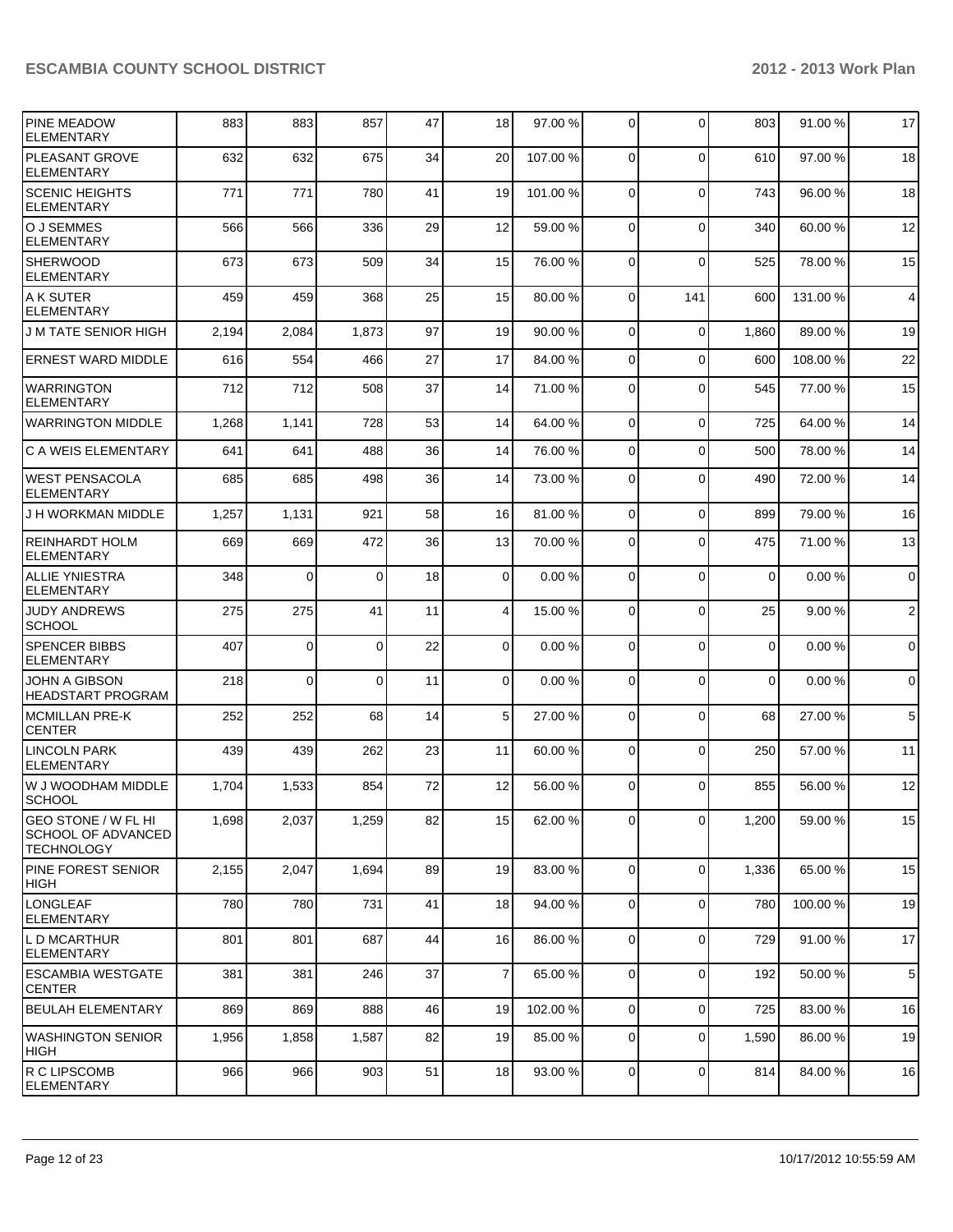| <b>PINE MEADOW</b><br><b>ELEMENTARY</b>                                      | 883   | 883         | 857      | 47 | 18              | 97.00 % | $\overline{0}$ | $\Omega$    | 803      | 91.00 %  | 17             |
|------------------------------------------------------------------------------|-------|-------------|----------|----|-----------------|---------|----------------|-------------|----------|----------|----------------|
| PLEASANT GROVE<br><b>ELEMENTARY</b>                                          | 632   | 632         | 675      | 34 | 20              | 107.00% | 0              | $\Omega$    | 610      | 97.00 %  | 18             |
| <b>SCENIC HEIGHTS</b><br>ELEMENTARY                                          | 771   | 771         | 780      | 41 | 19              | 101.00% | $\Omega$       | $\mathbf 0$ | 743      | 96.00%   | 18             |
| lO J SEMMES<br><b>ELEMENTARY</b>                                             | 566   | 566         | 336      | 29 | 12              | 59.00 % | $\Omega$       | $\Omega$    | 340      | 60.00%   | 12             |
| <b>SHERWOOD</b><br><b>ELEMENTARY</b>                                         | 673   | 673         | 509      | 34 | 15              | 76.00 % | $\Omega$       | $\mathbf 0$ | 525      | 78.00 %  | 15             |
| A K SUTER<br><b>ELEMENTARY</b>                                               | 459   | 459         | 368      | 25 | 15              | 80.00 % | $\Omega$       | 141         | 600      | 131.00%  | $\overline{4}$ |
| <b>J M TATE SENIOR HIGH</b>                                                  | 2,194 | 2,084       | 1,873    | 97 | 19              | 90.00%  | $\Omega$       | $\mathbf 0$ | 1,860    | 89.00 %  | 19             |
| <b>ERNEST WARD MIDDLE</b>                                                    | 616   | 554         | 466      | 27 | 17              | 84.00 % | $\Omega$       | $\Omega$    | 600      | 108.00%  | 22             |
| <b>WARRINGTON</b><br><b>ELEMENTARY</b>                                       | 712   | 712         | 508      | 37 | 14              | 71.00 % | $\Omega$       | $\Omega$    | 545      | 77.00 %  | 15             |
| <b>WARRINGTON MIDDLE</b>                                                     | 1,268 | 1,141       | 728      | 53 | 14              | 64.00 % | $\Omega$       | $\Omega$    | 725      | 64.00%   | 14             |
| lC A WEIS ELEMENTARY                                                         | 641   | 641         | 488      | 36 | 14              | 76.00 % | $\Omega$       | $\Omega$    | 500      | 78.00 %  | 14             |
| IWEST PENSACOLA<br><b>ELEMENTARY</b>                                         | 685   | 685         | 498      | 36 | 14              | 73.00 % | $\Omega$       | $\Omega$    | 490      | 72.00 %  | 14             |
| J H WORKMAN MIDDLE                                                           | 1,257 | 1,131       | 921      | 58 | 16              | 81.00 % | $\Omega$       | $\Omega$    | 899      | 79.00 %  | 16             |
| REINHARDT HOLM<br><b>ELEMENTARY</b>                                          | 669   | 669         | 472      | 36 | 13              | 70.00 % | 0              | $\Omega$    | 475      | 71.00 %  | 13             |
| <b>ALLIE YNIESTRA</b><br><b>ELEMENTARY</b>                                   | 348   | $\Omega$    | $\Omega$ | 18 | $\Omega$        | 0.00%   | $\Omega$       | $\Omega$    | $\Omega$ | 0.00%    | $\mathbf 0$    |
| <b>JUDY ANDREWS</b><br><b>SCHOOL</b>                                         | 275   | 275         | 41       | 11 | $\vert 4 \vert$ | 15.00 % | $\overline{0}$ | $\Omega$    | 25       | 9.00%    | $\overline{2}$ |
| <b>SPENCER BIBBS</b><br><b>ELEMENTARY</b>                                    | 407   | $\mathbf 0$ | 0        | 22 | $\Omega$        | 0.00%   | $\Omega$       | $\Omega$    | $\Omega$ | 0.00%    | $\mathbf 0$    |
| <b>JOHN A GIBSON</b><br><b>HEADSTART PROGRAM</b>                             | 218   | 0           | 0        | 11 | $\overline{0}$  | 0.00%   | 0              | $\Omega$    | $\Omega$ | 0.00%    | 0              |
| MCMILLAN PRE-K<br><b>CENTER</b>                                              | 252   | 252         | 68       | 14 | 5 <sup>1</sup>  | 27.00 % | $\Omega$       | $\Omega$    | 68       | 27.00 %  | 5              |
| <b>LINCOLN PARK</b><br>ELEMENTARY                                            | 439   | 439         | 262      | 23 | 11              | 60.00 % | $\overline{0}$ | $\Omega$    | 250      | 57.00 %  | 11             |
| W J WOODHAM MIDDLE<br>SCHOOL                                                 | 1,704 | 1,533       | 854      | 72 | 12              | 56.00 % | 0              | $\Omega$    | 855      | 56.00 %  | 12             |
| <b>GEO STONE / W FL HI</b><br><b>SCHOOL OF ADVANCED</b><br><b>TECHNOLOGY</b> | 1,698 | 2,037       | 1,259    | 82 | 15              | 62.00 % | $\overline{0}$ | $\mathbf 0$ | 1,200    | 59.00 %  | 15             |
| PINE FOREST SENIOR<br>HIGH                                                   | 2,155 | 2,047       | 1,694    | 89 | 19              | 83.00 % | $\overline{0}$ | $\mathbf 0$ | 1,336    | 65.00 %  | 15             |
| <b>LONGLEAF</b><br><b>ELEMENTARY</b>                                         | 780   | 780         | 731      | 41 | 18              | 94.00 % | 0              | $\mathbf 0$ | 780      | 100.00 % | 19             |
| IL D MCARTHUR<br> ELEMENTARY                                                 | 801   | 801         | 687      | 44 | 16              | 86.00 % | $\overline{0}$ | $\mathbf 0$ | 729      | 91.00 %  | 17             |
| <b>IESCAMBIA WESTGATE</b><br><b>CENTER</b>                                   | 381   | 381         | 246      | 37 | $\overline{7}$  | 65.00 % | $\overline{0}$ | $\mathbf 0$ | 192      | 50.00 %  | 5              |
| <b>BEULAH ELEMENTARY</b>                                                     | 869   | 869         | 888      | 46 | 19              | 102.00% | $\overline{0}$ | $\mathbf 0$ | 725      | 83.00 %  | 16             |
| <b>WASHINGTON SENIOR</b><br> HIGH                                            | 1,956 | 1,858       | 1,587    | 82 | 19              | 85.00 % | $\mathbf 0$    | $\mathbf 0$ | 1,590    | 86.00 %  | 19             |
| R C LIPSCOMB<br><b>ELEMENTARY</b>                                            | 966   | 966         | 903      | 51 | 18              | 93.00 % | $\overline{0}$ | $\mathbf 0$ | 814      | 84.00%   | 16             |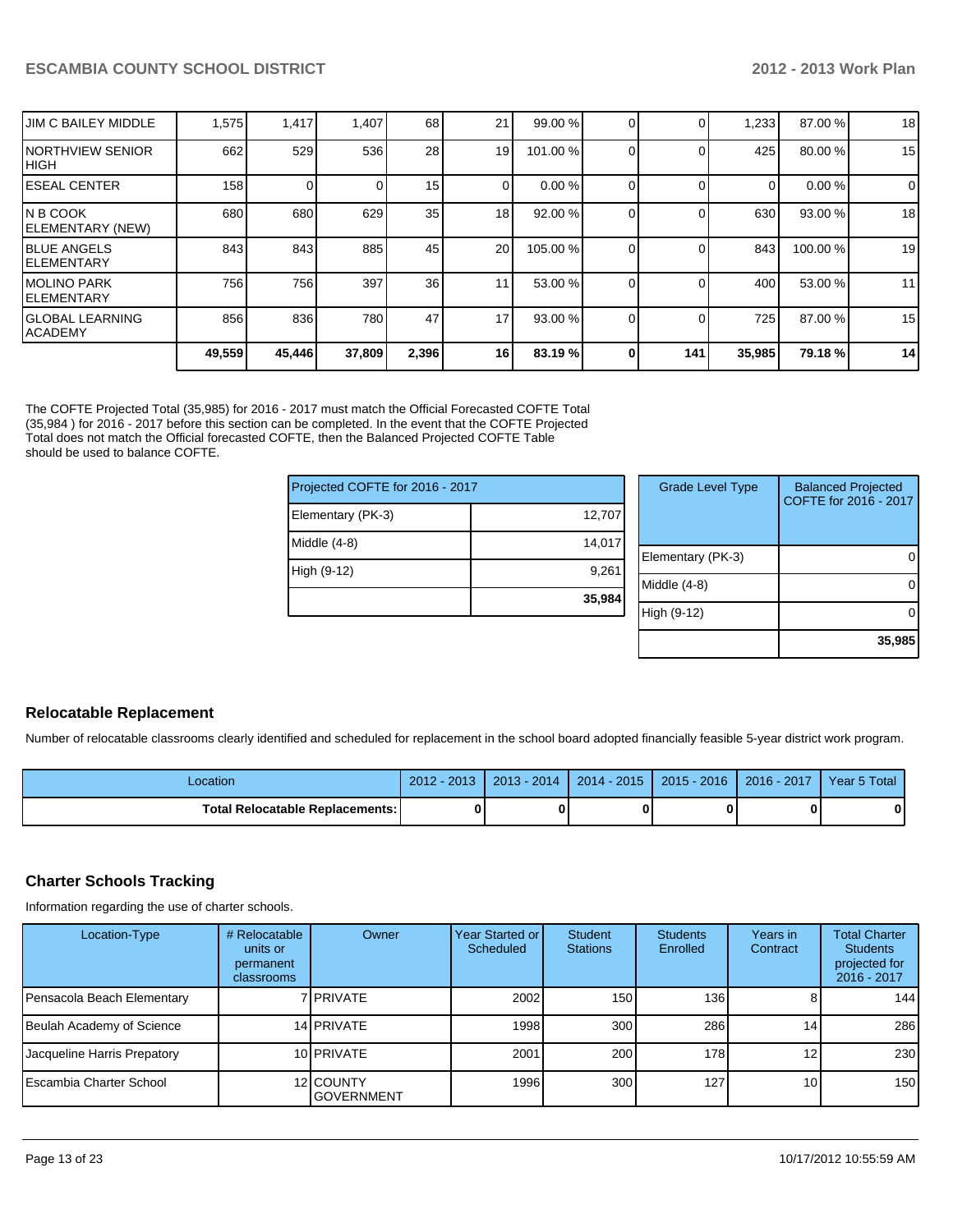| <b>JIM C BAILEY MIDDLE</b>         | 1,575  | 1,417  | 1,407  | 68    | 21              | 99.00 %   |     | 1,233  | 87.00 %  | 18 |
|------------------------------------|--------|--------|--------|-------|-----------------|-----------|-----|--------|----------|----|
| INORTHVIEW SENIOR<br>IHIGH         | 662    | 529    | 536    | 28    | 19              | 101.00 %  |     | 425    | 80.00 %  | 15 |
| IESEAL CENTER                      | 158    |        |        | 15    |                 | 0.00%     |     | 0      | 0.00%    | 0  |
| IN B COOK<br>ELEMENTARY (NEW)      | 680    | 680    | 629    | 35    | 18 <sub>l</sub> | 92.00 %   |     | 630    | 93.00 %  | 18 |
| <b>IBLUE ANGELS</b><br>lelementary | 843    | 843    | 885    | 45    | 20              | 105.00 %  |     | 843    | 100.00 % | 19 |
| IMOLINO PARK<br>IELEMENTARY        | 756    | 756    | 397    | 36    | 11              | 53.00 %   |     | 400    | 53.00 %  | 11 |
| lGLOBAL LEARNING<br><b>ACADEMY</b> | 856    | 836    | 780    | 47    | 17              | $93.00\%$ |     | 725    | 87.00 %  | 15 |
|                                    | 49,559 | 45,446 | 37,809 | 2,396 | 16 I            | 83.19%    | 141 | 35,985 | 79.18%   | 14 |

The COFTE Projected Total (35,985) for 2016 - 2017 must match the Official Forecasted COFTE Total (35,984 ) for 2016 - 2017 before this section can be completed. In the event that the COFTE Projected Total does not match the Official forecasted COFTE, then the Balanced Projected COFTE Table should be used to balance COFTE.

| Projected COFTE for 2016 - 2017 |        | Grade L     |
|---------------------------------|--------|-------------|
| Elementary (PK-3)               | 12,707 |             |
| Middle (4-8)                    | 14,017 | Elementary  |
| High (9-12)                     | 9.261  |             |
|                                 | 35,984 | Middle (4-8 |
|                                 |        | High (9-12) |

| <b>Grade Level Type</b> | <b>Balanced Projected</b><br>COFTE for 2016 - 2017 |
|-------------------------|----------------------------------------------------|
| Elementary (PK-3)       |                                                    |
| Middle $(4-8)$          |                                                    |
| High (9-12)             |                                                    |
|                         | 35,985                                             |

#### **Relocatable Replacement**

Number of relocatable classrooms clearly identified and scheduled for replacement in the school board adopted financially feasible 5-year district work program.

| Location                               | $-2017$<br>$2012 -$ | $2013 - 2014$ | $2014 - 2015$ | $2015 - 2016$ | $2016 - 2017$ | Year 5 Total |
|----------------------------------------|---------------------|---------------|---------------|---------------|---------------|--------------|
| <b>Total Relocatable Replacements:</b> |                     |               |               |               |               |              |

#### **Charter Schools Tracking**

Information regarding the use of charter schools.

| Location-Type               | # Relocatable<br>units or<br>permanent<br>classrooms | Owner                          | Year Started or<br>Scheduled | Student<br><b>Stations</b> | <b>Students</b><br>Enrolled | Years in<br>Contract | <b>Total Charter</b><br><b>Students</b><br>projected for<br>2016 - 2017 |
|-----------------------------|------------------------------------------------------|--------------------------------|------------------------------|----------------------------|-----------------------------|----------------------|-------------------------------------------------------------------------|
| Pensacola Beach Elementary  |                                                      | 7 I PRIVATE                    | 2002                         | 150                        | 136 <b>I</b>                |                      | 144                                                                     |
| Beulah Academy of Science   |                                                      | 14 PRIVATE                     | 1998                         | 300 <sub>l</sub>           | 286                         | 14                   | 286                                                                     |
| Jacqueline Harris Prepatory |                                                      | 10 <b>IPRIVATE</b>             | 2001                         | 200                        | 178                         | 12 <sub>1</sub>      | 230                                                                     |
| l Escambia Charter School   |                                                      | 12 COUNTY<br><b>GOVERNMENT</b> | 1996                         | 300 <sub>l</sub>           | 127                         | 10 <sup>1</sup>      | 150                                                                     |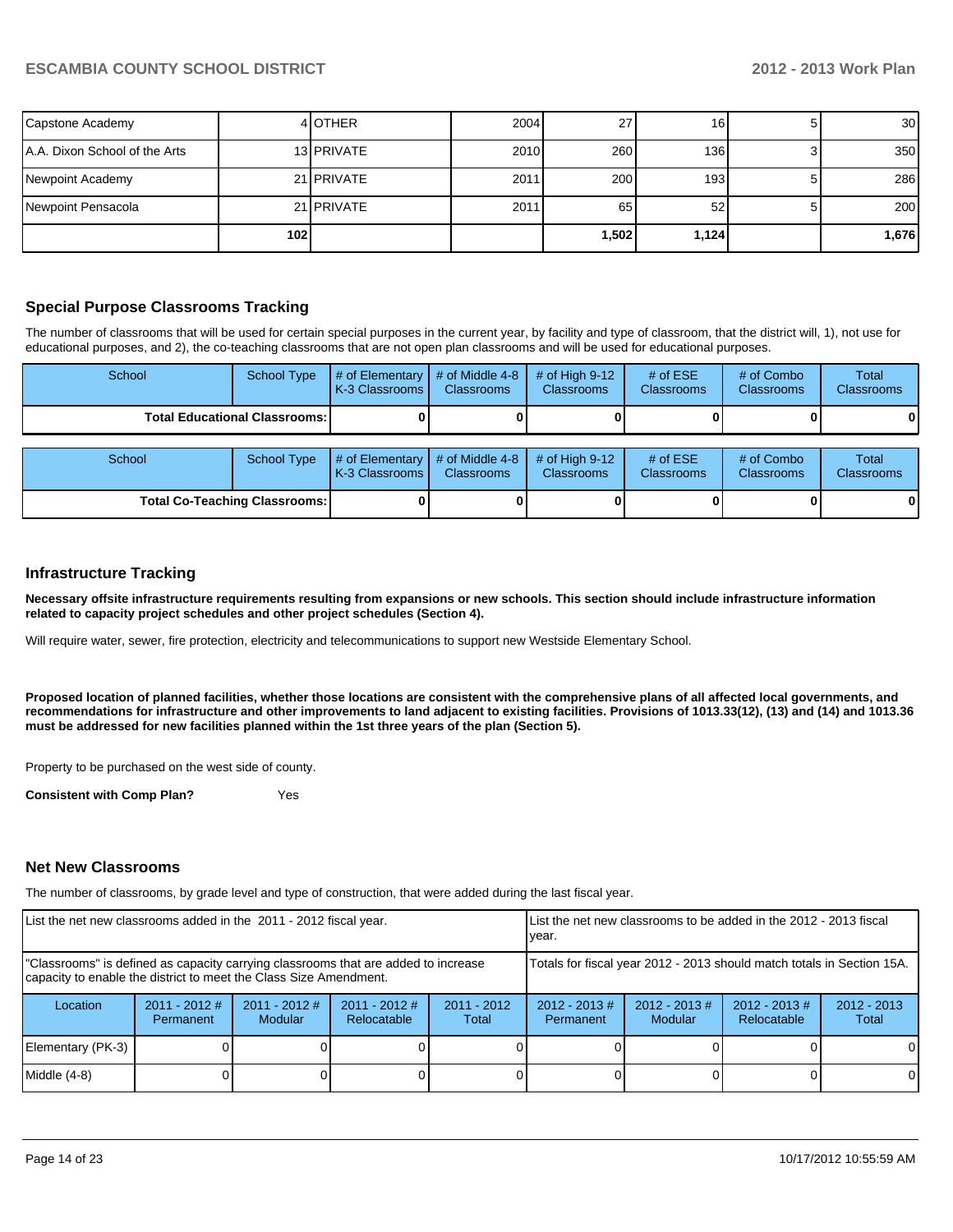| Capstone Academy              |                  | 4 OTHER           | 2004 | 27'      | 16    | 30 <sup>1</sup> |
|-------------------------------|------------------|-------------------|------|----------|-------|-----------------|
| A.A. Dixon School of the Arts |                  | 13 PRIVATE        | 2010 | 260      | 136   | 350             |
| Newpoint Academy              |                  | 21 <b>PRIVATE</b> | 2011 | 200      | 193   | 286             |
| Newpoint Pensacola            |                  | 21 <b>PRIVATE</b> | 2011 | 65       | 52    | 200             |
|                               | 102 <sub>l</sub> |                   |      | ا 502. ا | 1,124 | 1,676           |

#### **Special Purpose Classrooms Tracking**

The number of classrooms that will be used for certain special purposes in the current year, by facility and type of classroom, that the district will, 1), not use for educational purposes, and 2), the co-teaching classrooms that are not open plan classrooms and will be used for educational purposes.

| School                               | <b>School Type</b> | $#$ of Elementary<br>K-3 Classrooms I | # of Middle 4-8<br><b>Classrooms</b> | # of High $9-12$<br><b>Classrooms</b> | # of $ESE$<br><b>Classrooms</b> | # of Combo<br><b>Classrooms</b> | Total<br><b>Classrooms</b> |
|--------------------------------------|--------------------|---------------------------------------|--------------------------------------|---------------------------------------|---------------------------------|---------------------------------|----------------------------|
| <b>Total Educational Classrooms:</b> |                    |                                       |                                      |                                       |                                 |                                 |                            |
| School<br><b>School Type</b>         |                    | # of Elementary<br>K-3 Classrooms     | # of Middle 4-8<br><b>Classrooms</b> | # of High $9-12$<br><b>Classrooms</b> | # of $ESE$<br><b>Classrooms</b> | # of Combo<br>Classrooms        | Total<br><b>Classrooms</b> |
| <b>Total Co-Teaching Classrooms:</b> |                    |                                       |                                      |                                       |                                 |                                 | 0                          |

#### **Infrastructure Tracking**

**Necessary offsite infrastructure requirements resulting from expansions or new schools. This section should include infrastructure information related to capacity project schedules and other project schedules (Section 4).**

Will require water, sewer, fire protection, electricity and telecommunications to support new Westside Elementary School.

**Proposed location of planned facilities, whether those locations are consistent with the comprehensive plans of all affected local governments, and recommendations for infrastructure and other improvements to land adjacent to existing facilities. Provisions of 1013.33(12), (13) and (14) and 1013.36 must be addressed for new facilities planned within the 1st three years of the plan (Section 5).**

Property to be purchased on the west side of county.

**Consistent with Comp Plan?** Yes

#### **Net New Classrooms**

The number of classrooms, by grade level and type of construction, that were added during the last fiscal year.

| List the net new classrooms added in the 2011 - 2012 fiscal year.                                                                                       |                              |                                   | List the net new classrooms to be added in the 2012 - 2013 fiscal<br>Ivear. |                                                                        |                              |                             |                                |                        |
|---------------------------------------------------------------------------------------------------------------------------------------------------------|------------------------------|-----------------------------------|-----------------------------------------------------------------------------|------------------------------------------------------------------------|------------------------------|-----------------------------|--------------------------------|------------------------|
| "Classrooms" is defined as capacity carrying classrooms that are added to increase<br>capacity to enable the district to meet the Class Size Amendment. |                              |                                   |                                                                             | Totals for fiscal year 2012 - 2013 should match totals in Section 15A. |                              |                             |                                |                        |
| Location                                                                                                                                                | $2011 - 2012$ #<br>Permanent | $2011 - 2012$ #<br><b>Modular</b> | $2011 - 2012$ #<br>Relocatable                                              | $2011 - 2012$<br>Total                                                 | $2012 - 2013$ #<br>Permanent | $2012 - 2013 \#$<br>Modular | $2012 - 2013$ #<br>Relocatable | $2012 - 2013$<br>Total |
| Elementary (PK-3)                                                                                                                                       |                              |                                   |                                                                             |                                                                        |                              |                             |                                | $\Omega$               |
| Middle (4-8)                                                                                                                                            |                              |                                   |                                                                             |                                                                        |                              |                             |                                | $\Omega$               |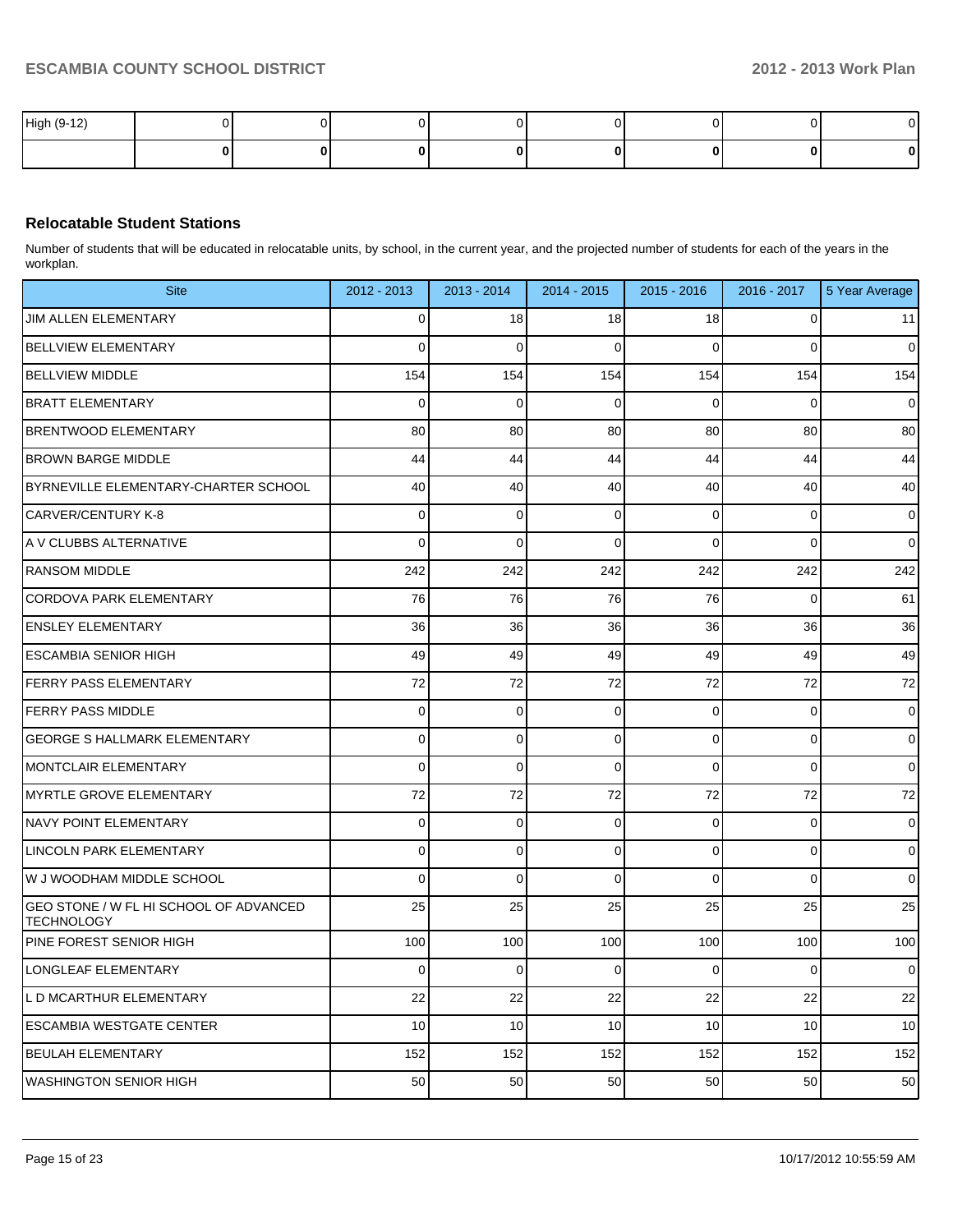| High (9-12) |  |  |  |  |
|-------------|--|--|--|--|
|             |  |  |  |  |

#### **Relocatable Student Stations**

Number of students that will be educated in relocatable units, by school, in the current year, and the projected number of students for each of the years in the workplan.

| <b>Site</b>                                                 | 2012 - 2013 | 2013 - 2014    | 2014 - 2015    | 2015 - 2016 | $2016 - 2017$  | 5 Year Average |
|-------------------------------------------------------------|-------------|----------------|----------------|-------------|----------------|----------------|
| JIM ALLEN ELEMENTARY                                        | 0           | 18             | 18             | 18          | 0              | 11             |
| <b>BELLVIEW ELEMENTARY</b>                                  | 0           | $\mathbf 0$    | 0              | $\Omega$    | $\Omega$       | $\overline{0}$ |
| <b>BELLVIEW MIDDLE</b>                                      | 154         | 154            | 154            | 154         | 154            | 154            |
| <b>BRATT ELEMENTARY</b>                                     | 0           | $\mathbf 0$    | 0              | $\Omega$    | $\Omega$       | $\overline{0}$ |
| <b>BRENTWOOD ELEMENTARY</b>                                 | 80          | 80             | 80             | 80          | 80             | 80             |
| <b>BROWN BARGE MIDDLE</b>                                   | 44          | 44             | 44             | 44          | 44             | 44             |
| BYRNEVILLE ELEMENTARY-CHARTER SCHOOL                        | 40          | 40             | 40             | 40          | 40             | 40             |
| CARVER/CENTURY K-8                                          | 0           | 0              | 0              | $\Omega$    | $\Omega$       | $\overline{0}$ |
| A V CLUBBS ALTERNATIVE                                      | 0           | $\mathbf 0$    | $\Omega$       | $\Omega$    | $\Omega$       | $\overline{0}$ |
| <b>RANSOM MIDDLE</b>                                        | 242         | 242            | 242            | 242         | 242            | 242            |
| <b>CORDOVA PARK ELEMENTARY</b>                              | 76          | 76             | 76             | 76          | $\Omega$       | 61             |
| <b>ENSLEY ELEMENTARY</b>                                    | 36          | 36             | 36             | 36          | 36             | 36             |
| <b>ESCAMBIA SENIOR HIGH</b>                                 | 49          | 49             | 49             | 49          | 49             | 49             |
| <b>IFERRY PASS ELEMENTARY</b>                               | 72          | 72             | 72             | 72          | 72             | 72             |
| <b>FERRY PASS MIDDLE</b>                                    | 0           | 0              | 0              | $\Omega$    | $\mathbf 0$    | $\overline{0}$ |
| <b>GEORGE S HALLMARK ELEMENTARY</b>                         | 0           | $\mathbf 0$    | 0              | $\Omega$    | $\mathbf 0$    | $\overline{0}$ |
| MONTCLAIR ELEMENTARY                                        | 0           | $\mathbf 0$    | 0              | $\Omega$    | $\Omega$       | $\overline{0}$ |
| MYRTLE GROVE ELEMENTARY                                     | 72          | 72             | 72             | 72          | 72             | 72             |
| <b>NAVY POINT ELEMENTARY</b>                                | 0           | $\mathbf 0$    | 0              | $\Omega$    | $\mathbf 0$    | $\overline{0}$ |
| LINCOLN PARK ELEMENTARY                                     | 0           | $\mathbf 0$    | 0              | $\Omega$    | $\mathbf 0$    | $\overline{0}$ |
| W J WOODHAM MIDDLE SCHOOL                                   | 0           | $\mathbf 0$    | 0              | 0           | $\Omega$       | $\overline{0}$ |
| GEO STONE / W FL HI SCHOOL OF ADVANCED<br><b>TECHNOLOGY</b> | 25          | 25             | 25             | 25          | 25             | 25             |
| PINE FOREST SENIOR HIGH                                     | 100         | 100            | 100            | 100         | 100            | 100            |
| LONGLEAF ELEMENTARY                                         | $\Omega$    | $\overline{0}$ | $\overline{0}$ | $\Omega$    | $\overline{0}$ | $\overline{0}$ |
| L D MCARTHUR ELEMENTARY                                     | 22          | 22             | 22             | 22          | 22             | 22             |
| <b>ESCAMBIA WESTGATE CENTER</b>                             | 10          | 10             | 10             | 10          | 10             | 10             |
| <b>BEULAH ELEMENTARY</b>                                    | 152         | 152            | 152            | 152         | 152            | 152            |
| <b>WASHINGTON SENIOR HIGH</b>                               | 50          | 50             | 50             | 50          | 50             | 50             |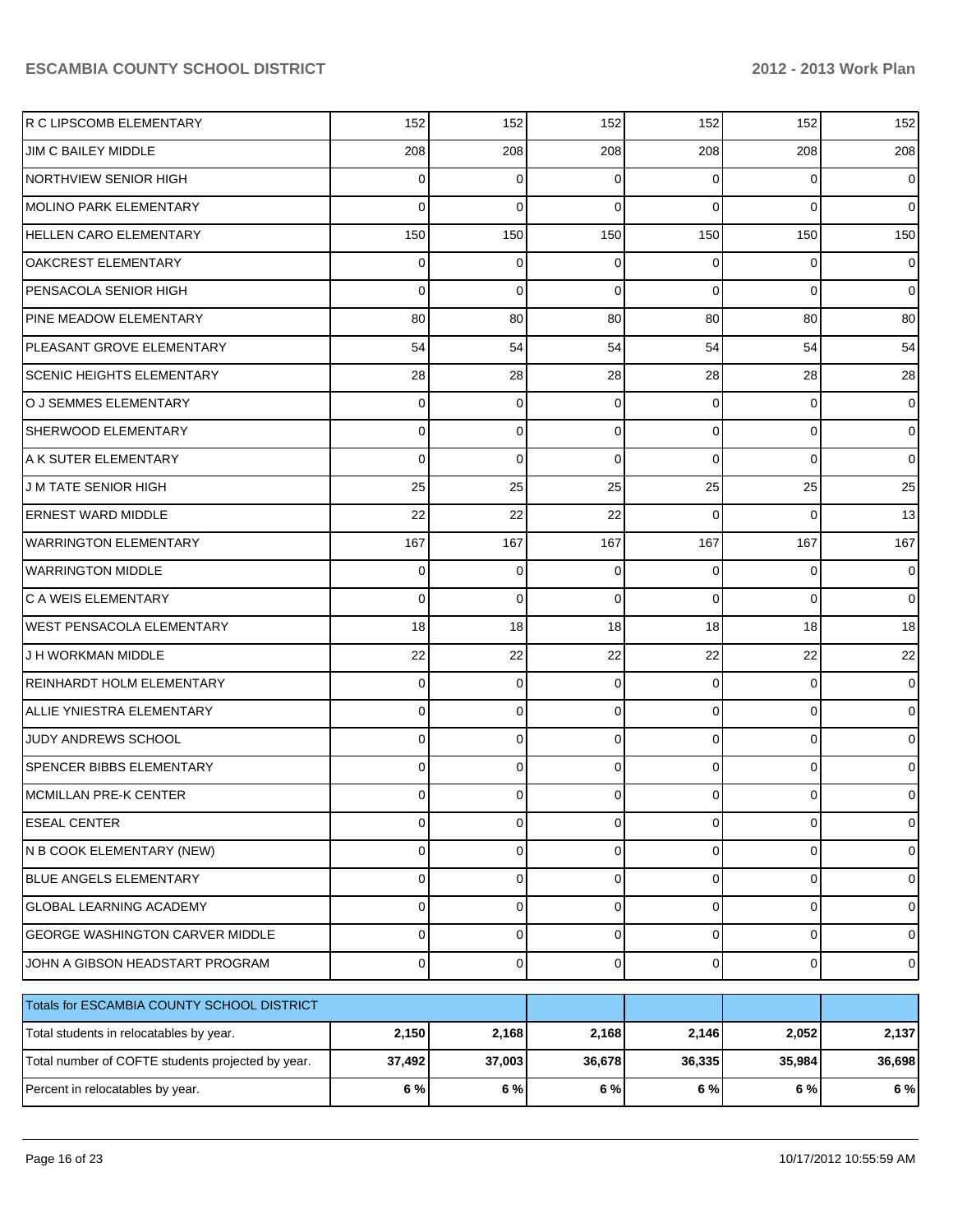| Percent in relocatables by year.                  | 6%     | 6 %    | 6 %         | 6 %            | 6 %            | 6 %            |
|---------------------------------------------------|--------|--------|-------------|----------------|----------------|----------------|
| Total number of COFTE students projected by year. | 37,492 | 37,003 | 36,678      | 36,335         | 35,984         | 36,698         |
| Total students in relocatables by year.           | 2,150  | 2,168  | 2,168       | 2,146          | 2,052          | 2,137          |
| Totals for ESCAMBIA COUNTY SCHOOL DISTRICT        |        |        |             |                |                |                |
| JOHN A GIBSON HEADSTART PROGRAM                   | 0      | 0      | $\mathbf 0$ | $\overline{0}$ | $\mathbf 0$    | $\mathbf 0$    |
| GEORGE WASHINGTON CARVER MIDDLE                   | 0      | 0      | 0           | 0              | 0              | $\mathbf 0$    |
| <b>GLOBAL LEARNING ACADEMY</b>                    | 0      | 0      | $\mathbf 0$ | 0              | $\mathbf 0$    | $\mathbf 0$    |
| BLUE ANGELS ELEMENTARY                            | 0      | 0      | $\mathbf 0$ | 0              | 0              | $\mathbf 0$    |
| N B COOK ELEMENTARY (NEW)                         | 0      | 0      | 0           | $\overline{0}$ | $\mathbf{0}$   | $\mathbf 0$    |
| <b>ESEAL CENTER</b>                               | 0      | 0      | $\mathbf 0$ | $\overline{0}$ | $\mathbf 0$    | $\mathbf 0$    |
| MCMILLAN PRE-K CENTER                             | 0      | 0      | $\Omega$    | 0              | 0              | $\overline{0}$ |
| SPENCER BIBBS ELEMENTARY                          | 0      | 0      | $\Omega$    | 0              | $\mathbf 0$    | $\mathbf 0$    |
| JUDY ANDREWS SCHOOL                               | 0      | 0      | 0           | 0              | $\mathbf 0$    | $\mathbf 0$    |
| <b>ALLIE YNIESTRA ELEMENTARY</b>                  | 0      | 0      | $\Omega$    | $\overline{0}$ | $\mathbf 0$    | $\overline{0}$ |
| <b>REINHARDT HOLM ELEMENTARY</b>                  | 0      | 0      | $\Omega$    | 0              | 0              | $\mathbf 0$    |
| J H WORKMAN MIDDLE                                | 22     | 22     | 22          | 22             | 22             | 22             |
| <b>WEST PENSACOLA ELEMENTARY</b>                  | 18     | 18     | 18          | 18             | 18             | 18             |
| C A WEIS ELEMENTARY                               | 0      | 0      | $\Omega$    | 0              | $\overline{0}$ | $\overline{0}$ |
| <b>WARRINGTON MIDDLE</b>                          | 0      | 0      | $\Omega$    | 0              | 0              | $\mathbf 0$    |
| <b>WARRINGTON ELEMENTARY</b>                      | 167    | 167    | 167         | 167            | 167            | 167            |
| <b>ERNEST WARD MIDDLE</b>                         | 22     | 22     | 22          | 0              | $\overline{0}$ | 13             |
| <b>J M TATE SENIOR HIGH</b>                       | 25     | 25     | 25          | 25             | 25             | 25             |
| A K SUTER ELEMENTARY                              | 0      | 0      | $\Omega$    | 0              | 0              | $\overline{0}$ |
| <b>SHERWOOD ELEMENTARY</b>                        | 0      | 0      | $\Omega$    | $\overline{0}$ | $\mathbf 0$    | $\overline{0}$ |
| O J SEMMES ELEMENTARY                             | 0      | 0      | $\Omega$    | 0              | 0              | $\mathbf 0$    |
| <b>SCENIC HEIGHTS ELEMENTARY</b>                  | 28     | 28     | 28          | 28             | 28             | 28             |
| PLEASANT GROVE ELEMENTARY                         | 54     | 54     | 54          | 54             | 54             | 54             |
| PINE MEADOW ELEMENTARY                            | 80     | 80     | 80          | 80             | 80             | 80             |
| PENSACOLA SENIOR HIGH                             | 0      | 0      | $\Omega$    | 0              | $\overline{0}$ | $\overline{0}$ |
| OAKCREST ELEMENTARY                               | 0      | 0      | $\Omega$    | 0              | $\overline{0}$ | $\mathbf 0$    |
| <b>HELLEN CARO ELEMENTARY</b>                     | 150    | 150    | 150         | 150            | 150            | 150            |
| <b>MOLINO PARK ELEMENTARY</b>                     | 0      | 0      | $\Omega$    | 0              | $\overline{0}$ | $\overline{0}$ |
| <b>NORTHVIEW SENIOR HIGH</b>                      | 0      | 0      | $\Omega$    | 0              | 0              | $\mathbf 0$    |
| JIM C BAILEY MIDDLE                               | 208    | 208    | 208         | 208            | 208            | 208            |
| R C LIPSCOMB ELEMENTARY                           | 152    | 152    | 152         | 152            | 152            | 152            |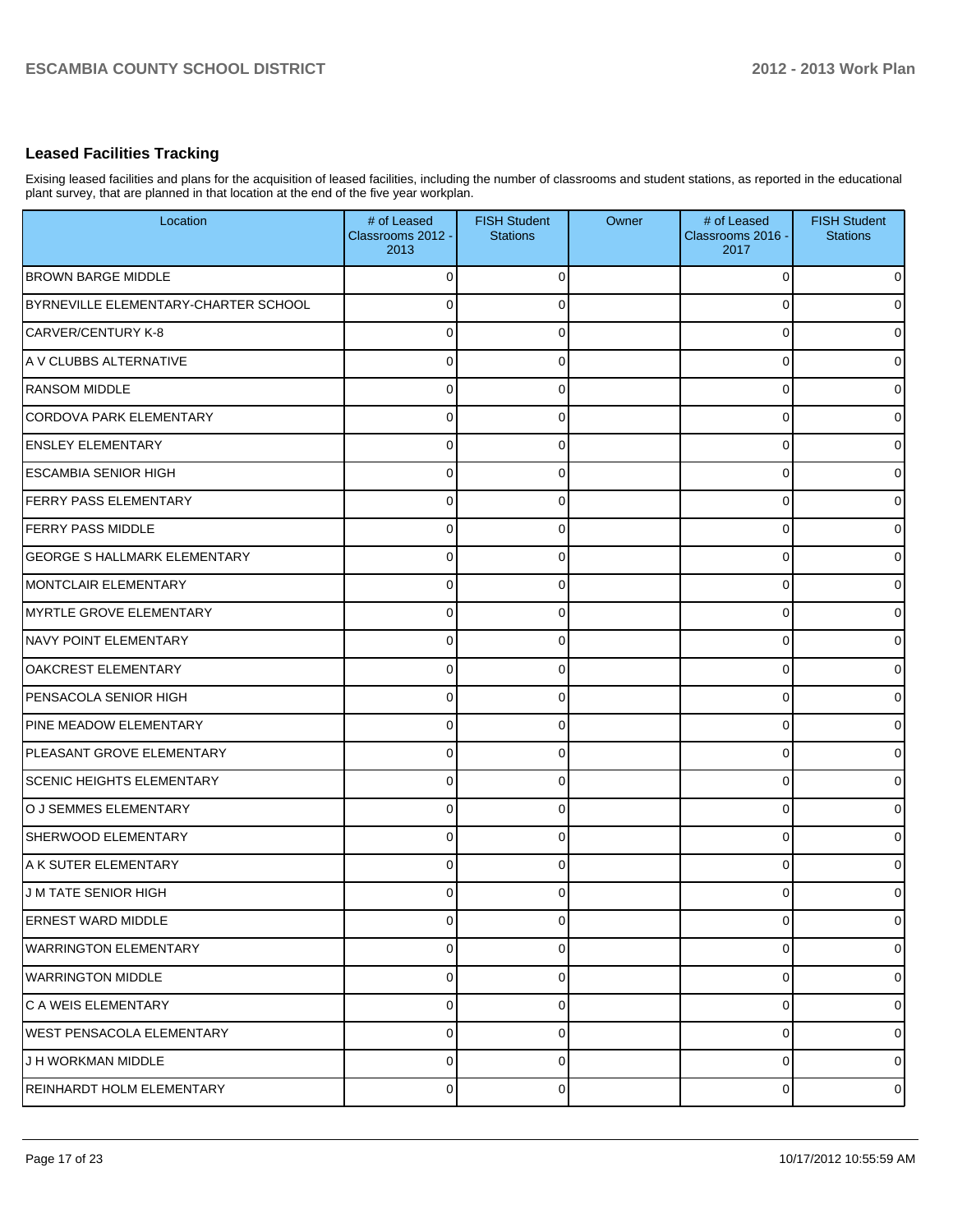#### **Leased Facilities Tracking**

Exising leased facilities and plans for the acquisition of leased facilities, including the number of classrooms and student stations, as reported in the educational plant survey, that are planned in that location at the end of the five year workplan.

| Location                             | # of Leased<br>Classrooms 2012 -<br>2013 | <b>FISH Student</b><br><b>Stations</b> | Owner | # of Leased<br>Classrooms 2016 -<br>2017 | <b>FISH Student</b><br><b>Stations</b> |
|--------------------------------------|------------------------------------------|----------------------------------------|-------|------------------------------------------|----------------------------------------|
| <b>BROWN BARGE MIDDLE</b>            | $\Omega$                                 | $\Omega$                               |       | 0                                        | 0                                      |
| BYRNEVILLE ELEMENTARY-CHARTER SCHOOL | $\Omega$                                 | $\Omega$                               |       | 0                                        | 0                                      |
| <b>CARVER/CENTURY K-8</b>            | $\Omega$                                 | $\Omega$                               |       | 0                                        | 0                                      |
| A V CLUBBS ALTERNATIVE               | $\Omega$                                 | $\Omega$                               |       | 0                                        | 0                                      |
| <b>RANSOM MIDDLE</b>                 | $\Omega$                                 | $\Omega$                               |       | 0                                        | 0                                      |
| <b>CORDOVA PARK ELEMENTARY</b>       | $\Omega$                                 | $\Omega$                               |       | 0                                        | $\overline{0}$                         |
| <b>ENSLEY ELEMENTARY</b>             | $\Omega$                                 | $\Omega$                               |       | 0                                        | 0                                      |
| <b>ESCAMBIA SENIOR HIGH</b>          | $\Omega$                                 | $\Omega$                               |       | 0                                        | $\overline{0}$                         |
| <b>FERRY PASS ELEMENTARY</b>         | $\Omega$                                 | $\Omega$                               |       | 0                                        | 0                                      |
| <b>FERRY PASS MIDDLE</b>             | $\Omega$                                 | $\Omega$                               |       | 0                                        | 0                                      |
| <b>GEORGE S HALLMARK ELEMENTARY</b>  | $\Omega$                                 | $\Omega$                               |       | 0                                        | 0                                      |
| <b>MONTCLAIR ELEMENTARY</b>          | $\Omega$                                 | $\Omega$                               |       | 0                                        | $\overline{0}$                         |
| <b>MYRTLE GROVE ELEMENTARY</b>       | $\Omega$                                 | ∩                                      |       | 0                                        | 0                                      |
| <b>NAVY POINT ELEMENTARY</b>         | $\Omega$                                 | $\Omega$                               |       | 0                                        | $\overline{0}$                         |
| <b>OAKCREST ELEMENTARY</b>           | $\Omega$                                 | $\Omega$                               |       | 0                                        | 0                                      |
| PENSACOLA SENIOR HIGH                | $\Omega$                                 | $\Omega$                               |       | 0                                        | $\overline{0}$                         |
| PINE MEADOW ELEMENTARY               | $\Omega$                                 | $\Omega$                               |       | 0                                        | 0                                      |
| PLEASANT GROVE ELEMENTARY            | $\Omega$                                 | $\Omega$                               |       | 0                                        | 0                                      |
| <b>SCENIC HEIGHTS ELEMENTARY</b>     | $\Omega$                                 | $\Omega$                               |       | 0                                        | $\overline{0}$                         |
| O J SEMMES ELEMENTARY                | $\Omega$                                 | $\Omega$                               |       | 0                                        | $\overline{0}$                         |
| SHERWOOD ELEMENTARY                  | $\Omega$                                 | $\Omega$                               |       | 0                                        | 0                                      |
| A K SUTER ELEMENTARY                 | $\Omega$                                 | $\Omega$                               |       | 0                                        | 0                                      |
| <b>JM TATE SENIOR HIGH</b>           | 0                                        |                                        |       |                                          | 0                                      |
| <b>ERNEST WARD MIDDLE</b>            | $\mathbf 0$                              | 0                                      |       | 0                                        | $\overline{0}$                         |
| <b>WARRINGTON ELEMENTARY</b>         | $\mathbf 0$                              | $\mathbf 0$                            |       | 0                                        | $\overline{0}$                         |
| <b>WARRINGTON MIDDLE</b>             | $\mathbf 0$                              | $\Omega$                               |       | 0                                        | $\overline{0}$                         |
| C A WEIS ELEMENTARY                  | $\mathbf 0$                              | 0                                      |       | 0                                        | $\overline{0}$                         |
| <b>WEST PENSACOLA ELEMENTARY</b>     | $\mathbf 0$                              | $\Omega$                               |       | 0                                        | $\overline{0}$                         |
| J H WORKMAN MIDDLE                   | $\mathbf 0$                              | $\mathbf 0$                            |       | 0                                        | $\overline{0}$                         |
| REINHARDT HOLM ELEMENTARY            | $\mathbf 0$                              | 0                                      |       | 0                                        | $\mathbf 0$                            |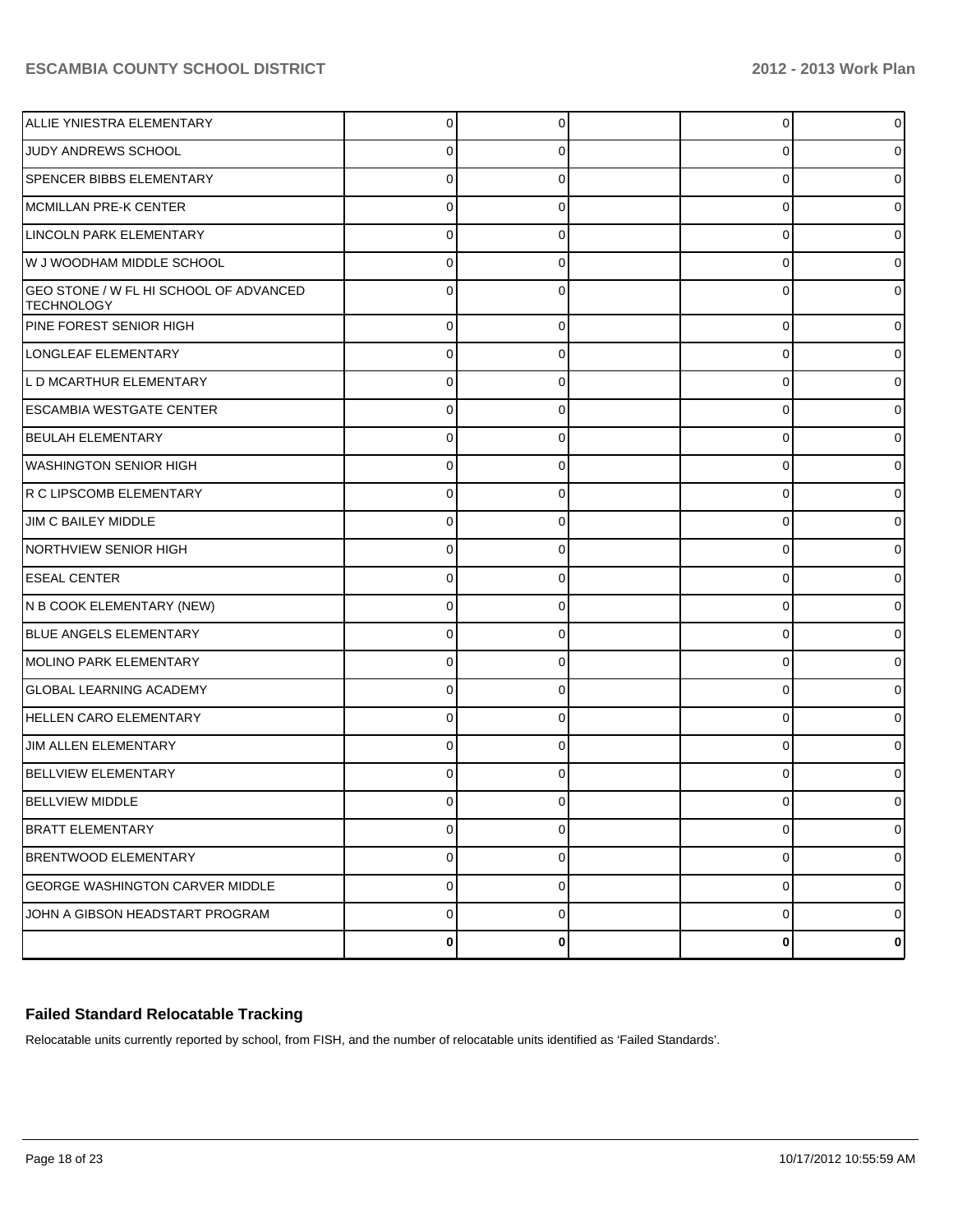| ALLIE YNIESTRA ELEMENTARY                                   | $\Omega$       | 0 | 0              |   |
|-------------------------------------------------------------|----------------|---|----------------|---|
| JUDY ANDREWS SCHOOL                                         | 0              | 0 | 0              |   |
| <b>SPENCER BIBBS ELEMENTARY</b>                             | 0              |   | 0              |   |
| <b>MCMILLAN PRE-K CENTER</b>                                | 0              | 0 | 0              |   |
| LINCOLN PARK ELEMENTARY                                     | 0              |   | 0              |   |
| W J WOODHAM MIDDLE SCHOOL                                   | 0              | 0 | 0              |   |
| GEO STONE / W FL HI SCHOOL OF ADVANCED<br><b>TECHNOLOGY</b> | ⋂              |   | 0              |   |
| PINE FOREST SENIOR HIGH                                     | $\mathbf 0$    | 0 | 0              |   |
| LONGLEAF ELEMENTARY                                         | 0              | 0 | 0              | 0 |
| L D MCARTHUR ELEMENTARY                                     | $\mathbf 0$    | 0 | 0              |   |
| <b>ESCAMBIA WESTGATE CENTER</b>                             | 0              | 0 | 0              | 0 |
| <b>BEULAH ELEMENTARY</b>                                    | $\mathbf 0$    | 0 | 0              |   |
| IWASHINGTON SENIOR HIGH                                     | 0              | 0 | 0              | 0 |
| R C LIPSCOMB ELEMENTARY                                     | $\mathbf 0$    | 0 | 0              |   |
| JIM C BAILEY MIDDLE                                         | 0              | 0 | 0              | 0 |
| <b>NORTHVIEW SENIOR HIGH</b>                                | $\mathbf 0$    | 0 | 0              |   |
| <b>ESEAL CENTER</b>                                         | 0              | 0 | 0              | 0 |
| N B COOK ELEMENTARY (NEW)                                   | $\mathbf 0$    | 0 | 0              |   |
| BLUE ANGELS ELEMENTARY                                      | 0              | 0 | 0              | 0 |
| MOLINO PARK ELEMENTARY                                      | $\mathbf 0$    | 0 | 0              |   |
| <b>GLOBAL LEARNING ACADEMY</b>                              | 0              | 0 | 0              | 0 |
| <b>HELLEN CARO ELEMENTARY</b>                               | $\mathbf 0$    | 0 | 0              |   |
| JIM ALLEN ELEMENTARY                                        | 0              | 0 | 0              | 0 |
| <b>BELLVIEW ELEMENTARY</b>                                  | $\Omega$       | 0 | 0              |   |
| <b>BELLVIEW MIDDLE</b>                                      | 0              | 0 | 0              | 0 |
| <b>BRATT ELEMENTARY</b>                                     | 0              | 0 | 0              | 0 |
| <b>BRENTWOOD ELEMENTARY</b>                                 | $\overline{0}$ | 0 | $\overline{0}$ | 0 |
| <b>GEORGE WASHINGTON CARVER MIDDLE</b>                      | $\mathbf 0$    | 0 | $\overline{0}$ | 0 |
| JOHN A GIBSON HEADSTART PROGRAM                             | $\mathbf 0$    | 0 | 0              | 0 |
|                                                             | $\mathbf 0$    | 0 | $\bf{0}$       | 0 |

### **Failed Standard Relocatable Tracking**

Relocatable units currently reported by school, from FISH, and the number of relocatable units identified as 'Failed Standards'.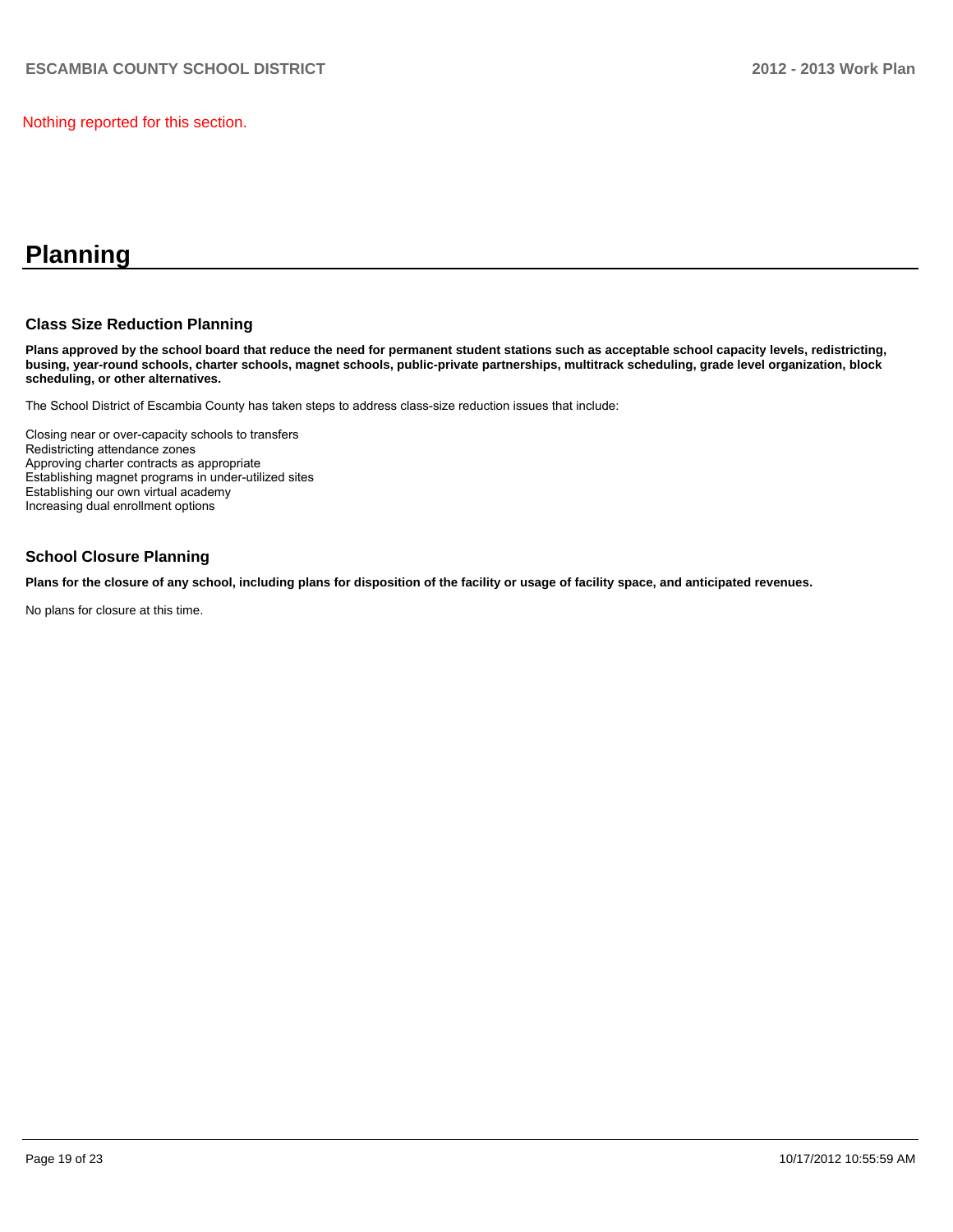Nothing reported for this section.

## **Planning**

#### **Class Size Reduction Planning**

**Plans approved by the school board that reduce the need for permanent student stations such as acceptable school capacity levels, redistricting, busing, year-round schools, charter schools, magnet schools, public-private partnerships, multitrack scheduling, grade level organization, block scheduling, or other alternatives.**

The School District of Escambia County has taken steps to address class-size reduction issues that include:

Closing near or over-capacity schools to transfers Redistricting attendance zones Approving charter contracts as appropriate Establishing magnet programs in under-utilized sites Establishing our own virtual academy Increasing dual enrollment options

#### **School Closure Planning**

**Plans for the closure of any school, including plans for disposition of the facility or usage of facility space, and anticipated revenues.**

No plans for closure at this time.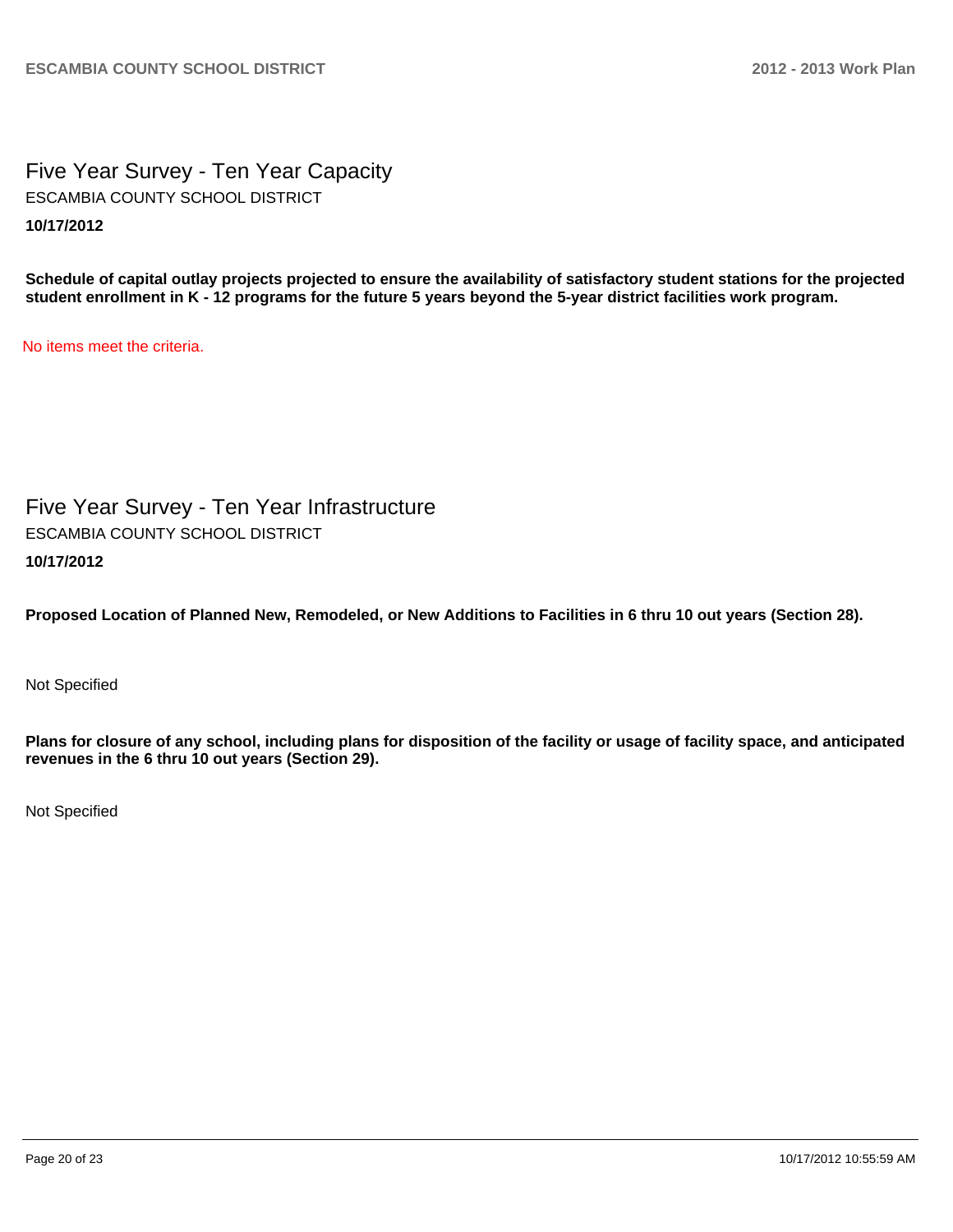Five Year Survey - Ten Year Capacity **10/17/2012** ESCAMBIA COUNTY SCHOOL DISTRICT

**Schedule of capital outlay projects projected to ensure the availability of satisfactory student stations for the projected student enrollment in K - 12 programs for the future 5 years beyond the 5-year district facilities work program.**

No items meet the criteria.

Five Year Survey - Ten Year Infrastructure **10/17/2012** ESCAMBIA COUNTY SCHOOL DISTRICT

**Proposed Location of Planned New, Remodeled, or New Additions to Facilities in 6 thru 10 out years (Section 28).**

Not Specified

**Plans for closure of any school, including plans for disposition of the facility or usage of facility space, and anticipated revenues in the 6 thru 10 out years (Section 29).**

Not Specified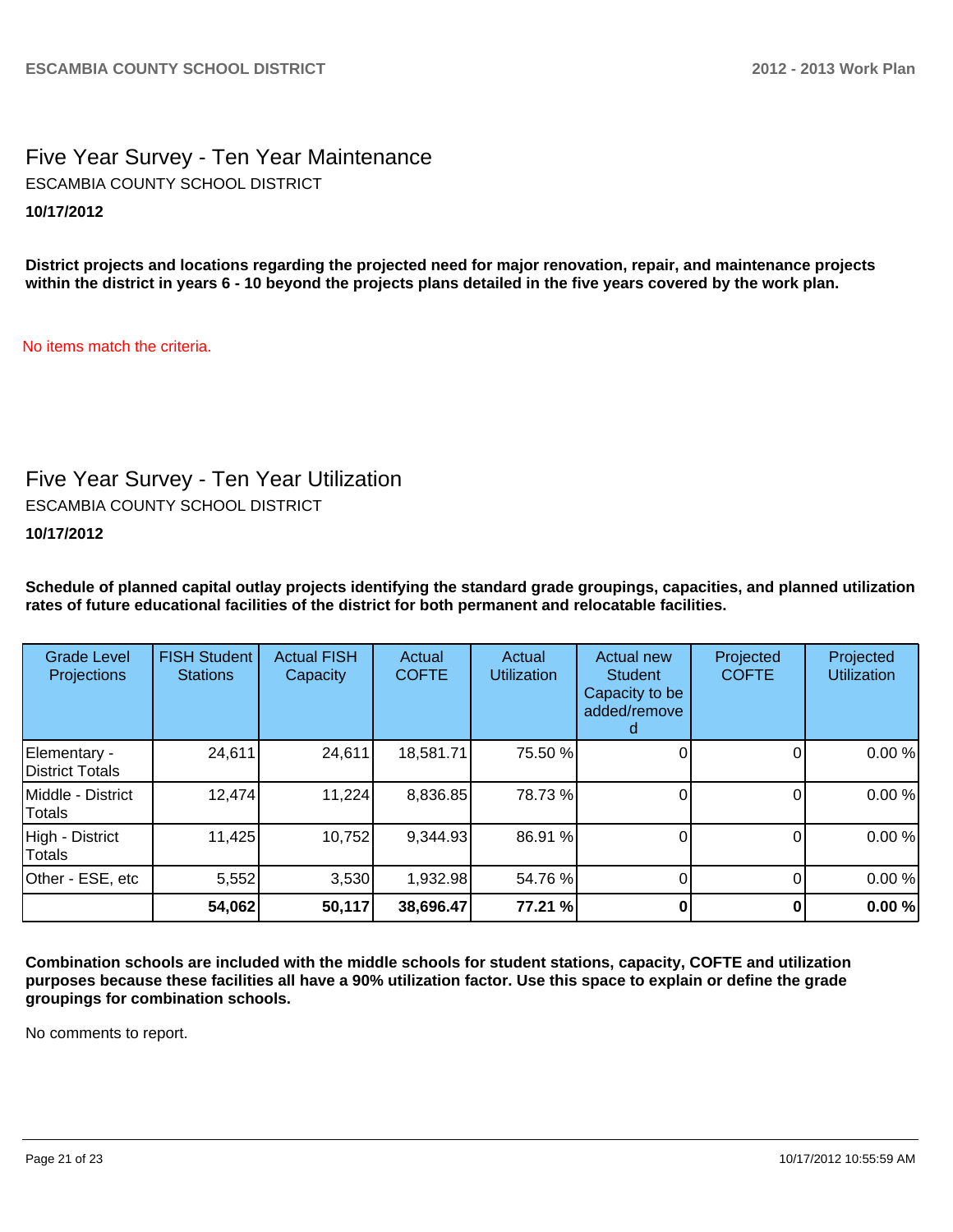Five Year Survey - Ten Year Maintenance **10/17/2012** ESCAMBIA COUNTY SCHOOL DISTRICT

**District projects and locations regarding the projected need for major renovation, repair, and maintenance projects within the district in years 6 - 10 beyond the projects plans detailed in the five years covered by the work plan.**

No items match the criteria.

## Five Year Survey - Ten Year Utilization

ESCAMBIA COUNTY SCHOOL DISTRICT

**10/17/2012**

**Schedule of planned capital outlay projects identifying the standard grade groupings, capacities, and planned utilization rates of future educational facilities of the district for both permanent and relocatable facilities.**

| <b>Grade Level</b><br><b>Projections</b> | <b>FISH Student</b><br><b>Stations</b> | <b>Actual FISH</b><br>Capacity | Actual<br><b>COFTE</b> | Actual<br><b>Utilization</b> | Actual new<br><b>Student</b><br>Capacity to be<br>added/remove | Projected<br><b>COFTE</b> | Projected<br><b>Utilization</b> |
|------------------------------------------|----------------------------------------|--------------------------------|------------------------|------------------------------|----------------------------------------------------------------|---------------------------|---------------------------------|
| Elementary -<br>District Totals          | 24,611                                 | 24,611                         | 18,581.71              | 75.50 %                      |                                                                |                           | 0.00 %                          |
| Middle - District<br>Totals              | 12,474                                 | 11,224                         | 8,836.85               | 78.73%                       |                                                                |                           | 0.00%                           |
| High - District<br>Totals                | 11,425                                 | 10,752                         | 9,344.93               | 86.91 %                      |                                                                |                           | 0.00%                           |
| Other - ESE, etc                         | 5,552                                  | 3,530                          | 1,932.98               | 54.76 %                      |                                                                |                           | 0.00%                           |
|                                          | 54,062                                 | 50,117                         | 38,696.47              | 77.21 %                      |                                                                |                           | 0.00%                           |

**Combination schools are included with the middle schools for student stations, capacity, COFTE and utilization purposes because these facilities all have a 90% utilization factor. Use this space to explain or define the grade groupings for combination schools.**

No comments to report.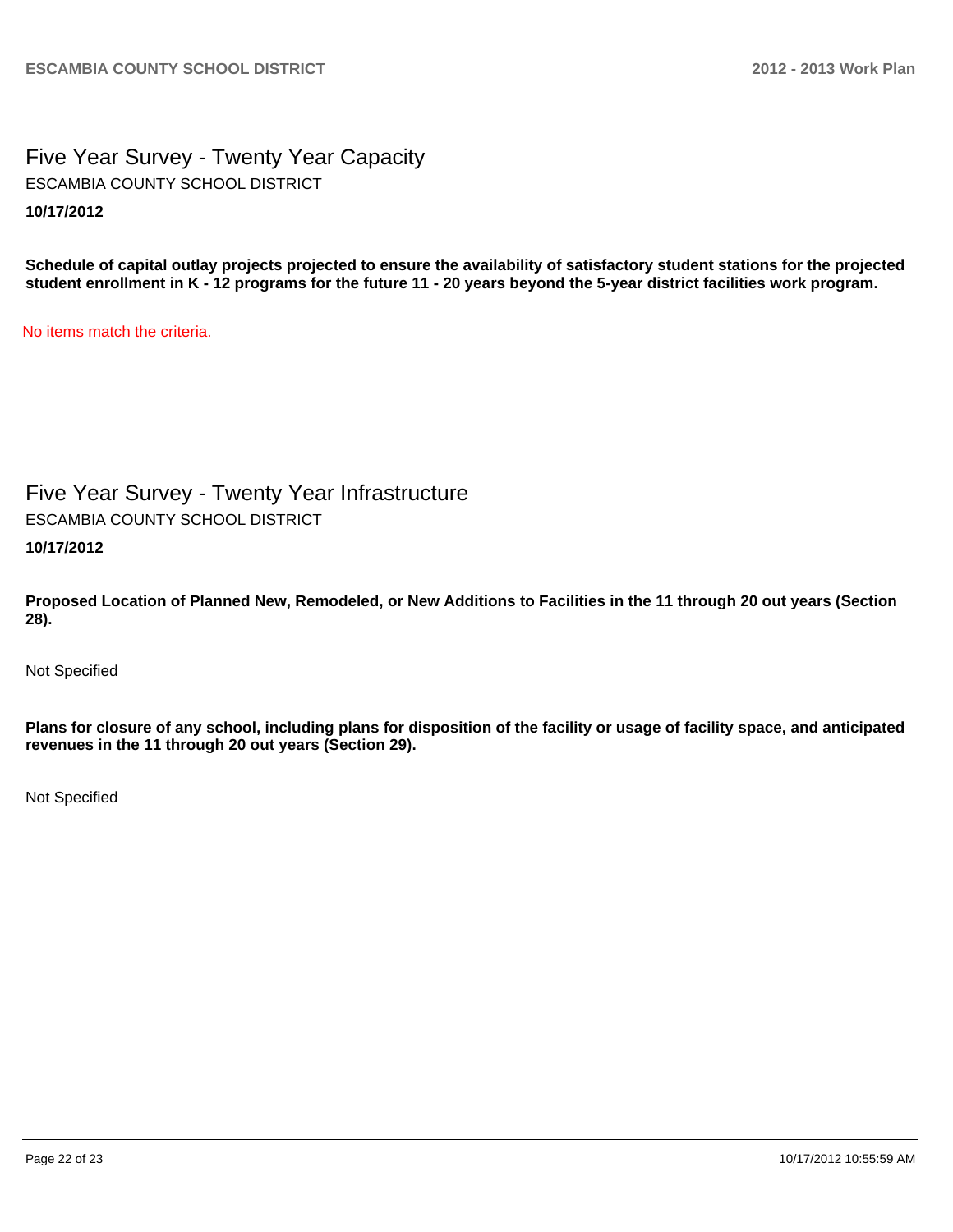Five Year Survey - Twenty Year Capacity **10/17/2012** ESCAMBIA COUNTY SCHOOL DISTRICT

**Schedule of capital outlay projects projected to ensure the availability of satisfactory student stations for the projected student enrollment in K - 12 programs for the future 11 - 20 years beyond the 5-year district facilities work program.**

No items match the criteria.

Five Year Survey - Twenty Year Infrastructure ESCAMBIA COUNTY SCHOOL DISTRICT

**10/17/2012**

**Proposed Location of Planned New, Remodeled, or New Additions to Facilities in the 11 through 20 out years (Section 28).**

Not Specified

**Plans for closure of any school, including plans for disposition of the facility or usage of facility space, and anticipated revenues in the 11 through 20 out years (Section 29).**

Not Specified